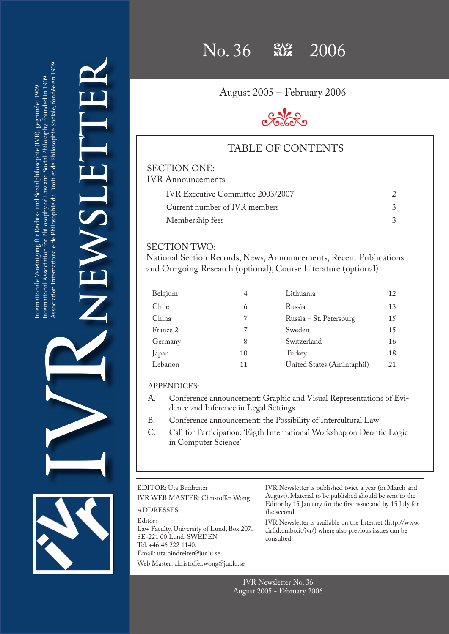**NEWSLETTER** LISWEN IVR

 $No. 36$   $\frac{90}{100}$   $2006$ 

August 2005 – February 2006



### TABLE OF CONTENTS

### SECTION ONE: IVR Announcements

| <b>IVR Executive Committee 2003/2007</b> |  |  |  |
|------------------------------------------|--|--|--|
| Current number of IVR members            |  |  |  |
| Membership fees                          |  |  |  |

### SECTION TWO:

National Section Records, News, Announcements, Recent Publications and On-going Research (optional), Course Literature (optional)

| Belgium  | 4  | Lithuania                  | 12 |
|----------|----|----------------------------|----|
| Chile    | 6  | Russia                     | 13 |
| China    | 7  | Russia – St. Petersburg    | 15 |
| France 2 | 7  | Sweden                     | 15 |
| Germany  | 8  | Switzerland                | 16 |
| Japan    | 10 | Turkey                     | 18 |
| Lebanon  | 11 | United States (Amintaphil) | 21 |

### APPENDICES:

- A. Conference announcement: Graphic and Visual Representations of Evidence and Inference in Legal Settings
- B. Conference announcement: the Possibility of Intercultural Law
- C. Call for Participation: 'Eigth International Workshop on Deontic Logic in Computer Science'

| EDITOR: Uta Bindreiter<br>IVR WEB MASTER: Christoffer Wong                                                                                  | IVR.<br>Augu                  |
|---------------------------------------------------------------------------------------------------------------------------------------------|-------------------------------|
| <b>ADDRESSES</b>                                                                                                                            | Edite<br>the s                |
| Editor:<br>Law Faculty, University of Lund, Box 207,<br>SE-221 00 Lund, SWEDEN<br>Tel. +46 46 222 1140,<br>Email: uta.bindreiter@jur.lu.se. | <b>IVR</b><br>cirfid<br>const |
| Web Master: christoffer.wong@jur.lu.se                                                                                                      |                               |
|                                                                                                                                             |                               |

Newsletter is published twice a year (in March and ust). Material to be published should be sent to the or by 15 January for the first issue and by 15 July for econd.

Newsletter is available on the Internet (http://www. d.unibo.it/ivr/) where also previous issues can be ulted.

IVR Newsletter No. 36 August 2005 - February 2006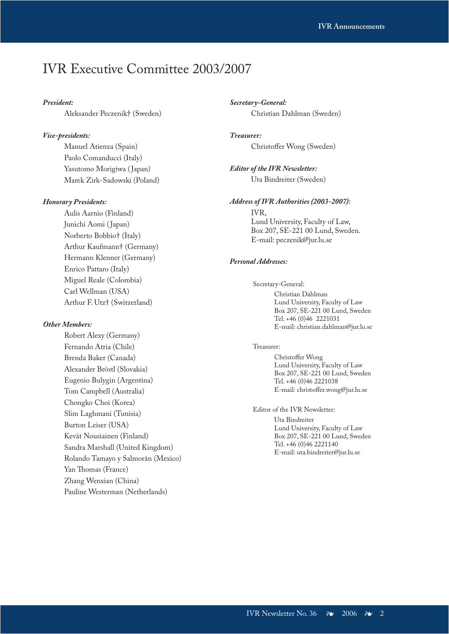## IVR Executive Committee 2003/2007

### *President:*

Aleksander Peczenik† (Sweden)

### *Vice-presidents:*

Manuel Atienza (Spain) Paolo Comanducci (Italy) Yasutomo Morigiwa (Japan) Marek Zirk-Sadowski (Poland)

#### *Honorary Presidents:*

Aulis Aarnio (Finland) Junichi Aomi (Japan) Norberto Bobbio† (Italy) Arthur Kaufmann† (Germany) Hermann Klenner (Germany) Enrico Pattaro (Italy) Miguel Reale (Colombia) Carl Wellman (USA) Arthur F. Utz† (Switzerland)

#### *Other Members:*

Robert Alexy (Germany) Fernando Atria (Chile) Brenda Baker (Canada) Alexander Bröstl (Slovakia) Eugenio Bulygin (Argentina) Tom Campbell (Australia) Chongko Choi (Korea) Slim Laghmani (Tunisia) Burton Leiser (USA) Kevät Nousiainen (Finland) Sandra Marshall (United Kingdom) Rolando Tamayo y Salmorán (Mexico) Yan Thomas (France) Zhang Wenxian (China) Pauline Westerman (Netherlands)

### *Secretary-General:* Christian Dahlman (Sweden)

### *Treasurer:*  Christoffer Wong (Sweden)

*Editor of the IVR Newsletter:*  Uta Bindreiter (Sweden)

### *Address of IVR Authorities (2003-2007):*

### IVR, Lund University, Faculty of Law,

Box 207, SE-221 00 Lund, Sweden. E-mail: peczenik@jur.lu.se

### *Personal Addresses:*

Secretary-General:

Christian Dahlman Lund University, Faculty of Law Box 207, SE-221 00 Lund, Sweden Tel. +46 (0)46 2221031 E-mail: christian.dahlman@jur.lu.se

#### Treasurer:

Christoffer Wong Lund University, Faculty of Law Box 207, SE-221 00 Lund, Sweden Tel. +46 (0)46 2221038 E-mail: christoffer.wong@jur.lu.se

Editor of the IVR Newsletter: Uta Bindreiter Lund University, Faculty of Law Box 207, SE-221 00 Lund, Sweden Tel. +46 (0)46 2221140 E-mail: uta.bindreiter@jur.lu.se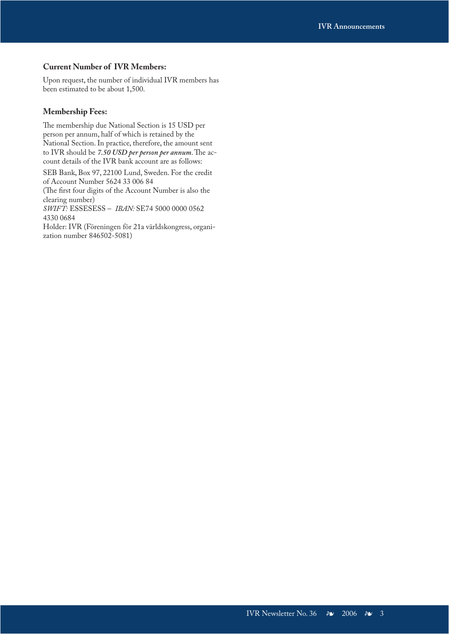### **Current Number of IVR Members:**

Upon request, the number of individual IVR members has been estimated to be about 1,500.

### **Membership Fees:**

The membership due National Section is 15 USD per person per annum, half of which is retained by the National Section. In practice, therefore, the amount sent to IVR should be *7.50 USD per person per annum*. The account details of the IVR bank account are as follows:

SEB Bank, Box 97, 22100 Lund, Sweden. For the credit of Account Number 5624 33 006 84

(The first four digits of the Account Number is also the clearing number)

*SWIFT:* ESSESESS – *IBAN:* SE74 5000 0000 0562 4330 0684

Holder: IVR (Föreningen för 21a världskongress, organization number 846502-5081)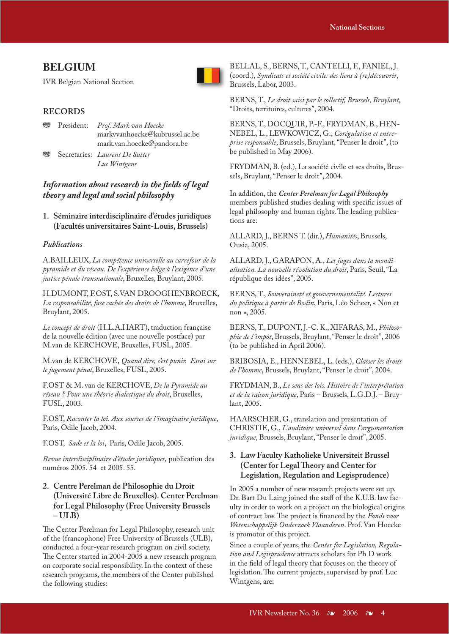### **BELGIUM**

IVR Belgian National Section



### **RECORDS**

- j President: *Prof. Mark van Hoecke* markvvanhoecke@kubrussel.ac.be mark.van.hoecke@pandora.be
	- Secretaries: *Laurent De Sutter Luc Wintgens*

### Information about research in the fields of legal *theory and legal and social philosophy*

**1. Séminaire interdisciplinaire d'études juridiques (Facultés universitaires Saint-Louis, Brussels)**

### *Publications*

A.BAILLEUX, *La compétence universelle au carrefour de la pyramide et du réseau. De l'expérience belge à l'exigence d'une justice pénale transnationale*, Bruxelles, Bruylant, 2005.

H.DUMONT, F.OST, S.VAN DROOGHENBROECK, *La responsabilité, face cachée des droits de l'homme*, Bruxelles, Bruylant, 2005.

*Le concept de droit* (H.L.A.HART), traduction française de la nouvelle édition (avec une nouvelle postface) par M.van de KERCHOVE, Bruxelles, FUSL, 2005.

M.van de KERCHOVE, *Quand dire, c'est punir. Essai sur le jugement pénal*, Bruxelles, FUSL, 2005.

F.OST & M. van de KERCHOVE, *De la Pyramide au réseau ? Pour une théorie dialectique du droit*, Bruxelles, FUSL, 2003.

F.OST, *Raconter la loi. Aux sources de l'imaginaire juridique*, Paris, Odile Jacob, 2004.

F.OST, *Sade et la loi*, Paris, Odile Jacob, 2005.

*Revue interdisciplinaire d'études juridiques,* publication des numéros 2005. 54 et 2005. 55.

### **2. Centre Perelman de Philosophie du Droit (Université Libre de Bruxelles). Center Perelman for Legal Philosophy (Free University Brussels – ULB)**

The Center Perelman for Legal Philosophy, research unit of the (francophone) Free University of Brussels (ULB), conducted a four-year research program on civil society. The Center started in 2004-2005 a new research program on corporate social responsibility. In the context of these research programs, the members of the Center published the following studies:

BELLAL, S., BERNS, T., CANTELLI, F., FANIEL, J. (coord.), *Syndicats et société civile: des liens à (re)découvrir*, Brussels, Labor, 2003.

BERNS, T., *Le droit saisi par le collectif, Brussels, Bruylant*, "Droits, territoires, cultures", 2004.

BERNS, T., DOCQUIR, P.-F., FRYDMAN, B., HEN-NEBEL, L., LEWKOWICZ, G., *Corégulation et entreprise responsable*, Brussels, Bruylant, "Penser le droit", (to be published in May 2006).

FRYDMAN, B. (ed.), La société civile et ses droits, Brussels, Bruylant, "Penser le droit", 2004.

In addition, the *Center Perelman for Legal Philosophy* members published studies dealing with specific issues of legal philosophy and human rights. The leading publications are:

ALLARD, J., BERNS T. (dir.), *Humanités*, Brussels, Ousia, 2005.

ALLARD, J., GARAPON, A., *Les juges dans la mondialisation. La nouvelle révolution du droit*, Paris, Seuil, "La république des idées", 2005.

BERNS, T., *Souveraineté et gouvernementalité. Lectures du politique à partir de Bodin*, Paris, Léo Scheer, « Non et non », 2005.

BERNS, T., DUPONT, J.-C. K., XIFARAS, M., *Philosophie de l'impôt*, Brussels, Bruylant, "Penser le droit", 2006 (to be published in April 2006).

BRIBOSIA, E., HENNEBEL, L. (eds.), *Classer les droits de l'homme*, Brussels, Bruylant, "Penser le droit", 2004.

FRYDMAN, B., *Le sens des lois. Histoire de l'interprétation et de la raison juridique*, Paris – Brussels, L.G.D.J. – Bruylant, 2005.

HAARSCHER, G., translation and presentation of CHRISTIE, G., *L'auditoire universel dans l'argumentation juridique*, Brussels, Bruylant, "Penser le droit", 2005.

### **3. Law Faculty Katholieke Universiteit Brussel**  (Center for Legal Theory and Center for **Legislation, Regulation and Legisprudence)**

In 2005 a number of new research projects were set up. Dr. Bart Du Laing joined the staff of the K.U.B. law faculty in order to work on a project on the biological origins of contract law. The project is financed by the *Fonds voor Wetenschappelijk Onderzoek Vlaanderen*. Prof. Van Hoecke is promotor of this project.

Since a couple of years, the *Center for Legislation, Regulation and Legisprudence* attracts scholars for Ph D work in the field of legal theory that focuses on the theory of legislation. The current projects, supervised by prof. Luc Wintgens, are: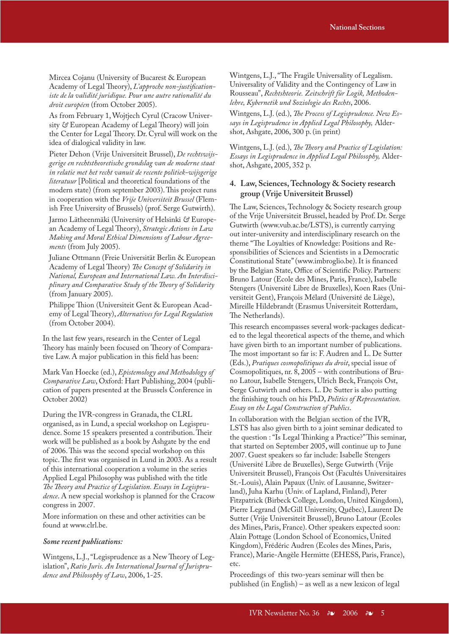Mircea Cojanu (University of Bucarest & European Academy of Legal Theory), *L'approche non-justificationiste de la validité juridique. Pour une autre rationalité du droit européen* (from October 2005).

As from February 1, Wojtjech Cyrul (Cracow University *&* European Academy of Legal Theory) will join the Center for Legal Theory. Dr. Cyrul will work on the idea of dialogical validity in law.

Pieter Dehon (Vrije Universiteit Brussel), *De rechtswijsgerige en rechtstheoretische grondslag van de moderne staat in relatie met het recht vanuit de recente politiek-wijsgerige literatuur* [Political and theoretical foundations of the modern state) (from september 2003). This project runs in cooperation with the *Vrije Universiteit Brussel* (Flemish Free University of Brussels) (prof. Serge Gutwirth).

Jarmo Lätheenmäki (University of Helsinki *&* European Academy of Legal Theory), *Strategic Actions in Law Making and Moral Ethical Dimensions of Labour Agreements* (from July 2005).

Juliane Ottmann (Freie Universität Berlin & European Academy of Legal Theory) *The Concept of Solidarity in National, European and International Law. An Interdisciplinary and Comparative Study of the Theory of Solidarity* (from January 2005).

Philippe Thion (Universiteit Gent & European Academy of Legal Theory), *Alternatives for Legal Regulation* (from October 2004).

In the last few years, research in the Center of Legal Theory has mainly been focused on Theory of Comparative Law. A major publication in this field has been:

Mark Van Hoecke (ed.), *Epistemology and Methodology of Comparative Law*, Oxford: Hart Publishing, 2004 (publication of papers presented at the Brussels Conference in October 2002)

During the IVR-congress in Granada, the CLRL organised, as in Lund, a special workshop on Legisprudence. Some 15 speakers presented a contribution. Their work will be published as a book by Ashgate by the end of 2006. This was the second special workshop on this topic. The first was organised in Lund in 2003. As a result of this international cooperation a volume in the series Applied Legal Philosophy was published with the title *The Theory and Practice of Legislation. Essays in Legisprudence*. A new special workshop is planned for the Cracow congress in 2007.

More information on these and other activities can be found at www.clrl.be.

#### *Some recent publications:*

Wintgens, L.J., "Legisprudence as a New Theory of Legislation", *Ratio Juris. An International Journal of Jurisprudence and Philosophy of Law*, 2006, 1-25.

Wintgens, L.J., "The Fragile Universality of Legalism. Universality of Validity and the Contingency of Law in Rousseau", *Rechtshteorie. Zeitschrift für Logik, Methodenlehre, Kybernetik und Soziologie des Rechts*, 2006.

Wintgens, L.J. (ed.), *The Process of Legisprudence. New Essays in Legisprudence in Applied Legal Philosophy,* Aldershot, Ashgate, 2006, 300 p. (in print)

Wintgens, L.J. (ed.), *The Theory and Practice of Legislation: Essays in Legisprudence in Applied Legal Philosophy,* Aldershot, Ashgate, 2005, 352 p.

### **4. Law, Sciences, Technology & Society research group (Vrije Universiteit Brussel)**

The Law, Sciences, Technology & Society research group of the Vrije Universiteit Brussel, headed by Prof. Dr. Serge Gutwirth (www.vub.ac.be/LSTS), is currently carrying out inter-university and interdisciplinary research on the theme "The Loyalties of Knowledge: Positions and Responsibilities of Sciences and Scientists in a Democratic Constitutional State" (www.imbroglio.be). It is financed by the Belgian State, Office of Scientific Policy. Partners: Bruno Latour (Ecole des Mines, Paris, France), Isabelle Stengers (Université Libre de Bruxelles), Koen Raes (Universiteit Gent), François Mélard (Université de Liège), Mireille Hildebrandt (Erasmus Universiteit Rotterdam, The Netherlands).

This research encompasses several work-packages dedicated to the legal theoretical aspects of the theme, and which have given birth to an important number of publications. The most important so far is: F. Audren and L. De Sutter (Eds.), *Pratiques cosmopolitiques du droit*, special issue of Cosmopolitiques, nr. 8, 2005 – with contributions of Bruno Latour, Isabelle Stengers, Ulrich Beck, François Ost, Serge Gutwirth and others. L. De Sutter is also putting the finishing touch on his PhD, *Politics of Representation. Essay on the Legal Construction of Publics*.

In collaboration with the Belgian section of the IVR, LSTS has also given birth to a joint seminar dedicated to the question : "Is Legal Thinking a Practice?" This seminar, that started on September 2005, will continue up to June 2007. Guest speakers so far include: Isabelle Stengers (Université Libre de Bruxelles), Serge Gutwirth (Vrije Universiteit Brussel), François Ost (Facultés Universitaires St.-Louis), Alain Papaux (Univ. of Lausanne, Switzerland), Juha Karhu (Univ. of Lapland, Finland), Peter Fitzpatrick (Birbeck College, London, United Kingdom), Pierre Legrand (McGill University, Québec), Laurent De Sutter (Vrije Universiteit Brussel), Bruno Latour (Ecoles des Mines, Paris, France). Other speakers expected soon: Alain Pottage (London School of Economics, United Kingdom), Frédéric Audren (Ecoles des Mines, Paris, France), Marie-Angèle Hermitte (EHESS, Paris, France), etc.

Proceedings of this two-years seminar will then be published (in English) – as well as a new lexicon of legal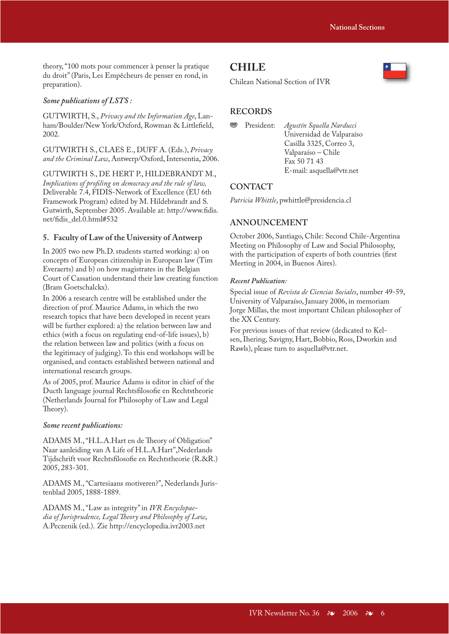theory, "100 mots pour commencer à penser la pratique du droit" (Paris, Les Empêcheurs de penser en rond, in preparation).

### *Some publications of LSTS :*

GUTWIRTH, S., *Privacy and the Information Age*, Lanham/Boulder/New York/Oxford, Rowman & Littlefield, 2002.

GUTWIRTH S., CLAES E., DUFF A. (Eds.), *Privacy and the Criminal Law*, Antwerp/Oxford, Intersentia, 2006.

GUTWIRTH S., DE HERT P., HILDEBRANDT M., *Implications of profiling on democracy and the rule of law,* Deliverable 7.4, FIDIS-Network of Excellence (EU 6th Framework Program) edited by M. Hildebrandt and S. Gutwirth, September 2005. Available at: http://www.fidis. net/fidis\_del.0.html#532

#### **5. Faculty of Law of the University of Antwerp**

In 2005 two new Ph.D. students started working: a) on concepts of European citizenship in European law (Tim Everaerts) and b) on how magistrates in the Belgian Court of Cassation understand their law creating function (Bram Goetschalckx).

In 2006 a research centre will be established under the direction of prof. Maurice Adams, in which the two research topics that have been developed in recent years will be further explored: a) the relation between law and ethics (with a focus on regulating end-of-life issues), b) the relation between law and politics (with a focus on the legitimacy of judging). To this end workshops will be organised, and contacts established between national and international research groups.

As of 2005, prof. Maurice Adams is editor in chief of the Ducth language journal Rechtsfilosofie en Rechtstheorie (Netherlands Journal for Philosophy of Law and Legal Theory).

#### *Some recent publications:*

ADAMS M., "H.L.A.Hart en de Theory of Obligation" Naar aanleiding van A Life of H.L.A.Hart",Nederlands Tijdschrift voor Rechtsfilosofie en Rechtstheorie (R.&R.) 2005, 283-301.

ADAMS M., "Cartesiaans motiveren?", Nederlands Juristenblad 2005, 1888-1889.

ADAMS M., "Law as integrity" in *IVR Encyclopae*dia of Jurisprudence, Legal Theory and Philosophy of Law, A.Peczenik (ed.). Zie http://encyclopedia.ivr2003.net

### **CHILE**

Chilean National Section of IVR

### **RECORDS**

```
j President: Agustín Squella Narducci 
   Universidad de Valparaíso
   Casilla 3325, Correo 3, 
   Valparaíso – Chile
   Fax 50 71 43
   E-mail: asquella@vtr.net
```
#### **CONTACT**

*Patricia Whittle*, pwhittle@presidencia.cl

### **ANNOUNCEMENT**

October 2006, Santiago, Chile: Second Chile-Argentina Meeting on Philosophy of Law and Social Philosophy, with the participation of experts of both countries (first Meeting in 2004, in Buenos Aires).

#### *Recent Publication:*

Special issue of *Revista de Ciencias Sociales*, number 49-59, University of Valparaíso, January 2006, in memoriam Jorge Millas, the most important Chilean philosopher of the XX Century.

For previous issues of that review (dedicated to Kelsen, Ihering, Savigny, Hart, Bobbio, Ross, Dworkin and Rawls), please turn to asquella@vtr.net.

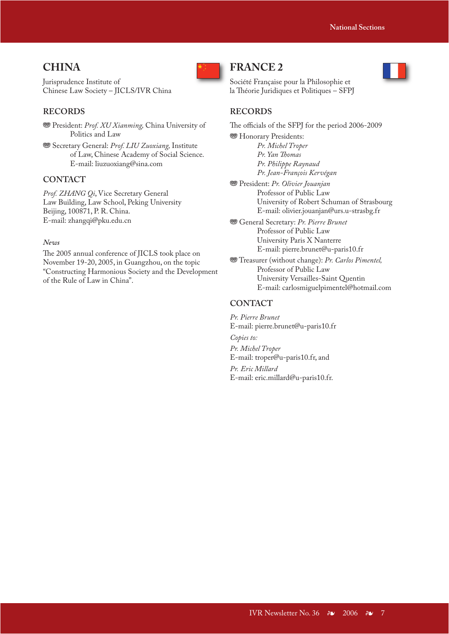### **CHINA**

Jurisprudence Institute of Chinese Law Society – JICLS/IVR China

### **RECORDS**

**<sup>889</sup>** President: *Prof. XU Xianming*, China University of Politics and Law

**WE Secretary General: Prof. LIU Zuoxiang, Institute**  of Law, Chinese Academy of Social Science. E-mail: liuzuoxiang@sina.com

### **CONTACT**

*Prof. ZHANG Qi*, Vice Secretary General Law Building, Law School, Peking University Beijing, 100871, P. R. China. E-mail: zhangqi@pku.edu.cn

### *News*

The 2005 annual conference of JICLS took place on November 19-20, 2005, in Guangzhou, on the topic "Constructing Harmonious Society and the Development of the Rule of Law in China".



### **FRANCE 2**



Société Française pour la Philosophie et la Théorie Juridiques et Politiques – SFPJ

### **RECORDS**

The officials of the SFPJ for the period 2006-2009 **<sup>®</sup>** Honorary Presidents: *Pr. Michel Troper* Pr. Yan Thomas  *Pr. Philippe Raynaud Pr. Jean-François Kervégan* j President: *Pr. Olivier Jouanjan* Professor of Public Law

 University of Robert Schuman of Strasbourg E-mail: olivier.jouanjan@urs.u-strasbg.fr

- **<sup>36</sup>** General Secretary: *Pr. Pierre Brunet* Professor of Public Law University Paris X Nanterre E-mail: pierre.brunet@u-paris10.fr
- j Treasurer (without change): *Pr. Carlos Pimentel,* Professor of Public Law University Versailles-Saint Quentin E-mail: carlosmiguelpimentel@hotmail.com

### **CONTACT**

*Pr. Pierre Brunet* E-mail: pierre.brunet@u-paris10.fr

*Copies to: Pr. Michel Troper* E-mail: troper@u-paris10.fr, and

*Pr. Eric Millard* E-mail: eric.millard@u-paris10.fr.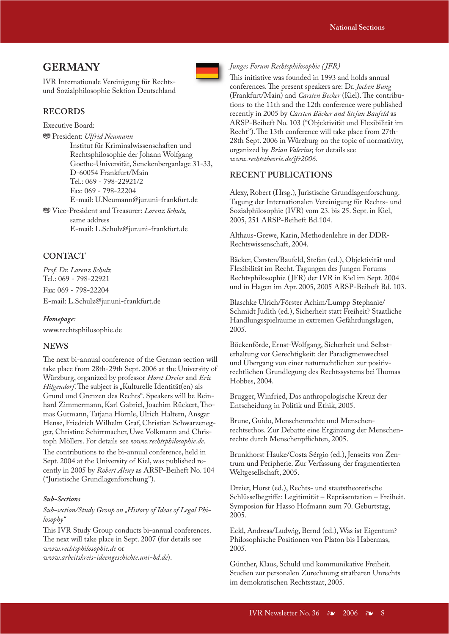### **GERMANY**

IVR Internationale Vereinigung für Rechtsund Sozialphilosophie Sektion Deutschland

### **RECORDS**

Executive Board:

j President: *Ulfrid Neumann* Institut für Kriminalwissenschaften und Rechtsphilosophie der Johann Wolfgang Goethe-Universität, Senckenberganlage 31-33, D-60054 Frankfurt/Main Tel.: 069 - 798-22921/2 Fax: 069 - 798-22204 E-mail: U.Neumann@jur.uni-frankfurt.de

j Vice-President and Treasurer: *Lorenz Schulz,* same address E-mail: L.Schulz@jur.uni-frankfurt.de

### **CONTACT**

*Prof. Dr. Lorenz Schulz* Tel.: 069 - 798-22921 Fax: 069 - 798-22204 E-mail: L.Schulz@jur.uni-frankfurt.de

*Homepage:* www.rechtsphilosophie.de

### **NEWS**

The next bi-annual conference of the German section will take place from 28th-29th Sept. 2006 at the University of Würzburg, organized by professor *Horst Dreier* and *Eric Hilgendorf*. The subject is "Kulturelle Identität(en) als Grund und Grenzen des Rechts". Speakers will be Reinhard Zimmermann, Karl Gabriel, Joachim Rückert, Thomas Gutmann, Tatjana Hörnle, Ulrich Haltern, Ansgar Hense, Friedrich Wilhelm Graf, Christian Schwarzenegger, Christine Schirrmacher, Uwe Volkmann and Christoph Möllers. For details see *www.rechtsphilosophie.de*.

The contributions to the bi-annual conference, held in Sept. 2004 at the University of Kiel, was published recently in 2005 by *Robert Alexy* as ARSP-Beiheft No. 104 ("Juristische Grundlagenforschung").

#### *Sub-Sections*

Sub-section/Study Group on "History of Ideas of Legal Phi*losophy"*

This IVR Study Group conducts bi-annual conferences. The next will take place in Sept. 2007 (for details see *www.rechtsphilosophie.de* or *www.arbeitskreis-ideengeschichte.uni-hd.de*).



#### *Junges Forum Rechtsphilosophie ( JFR)*

This initiative was founded in 1993 and holds annual conferences. The present speakers are: Dr. *Jochen Bung* (Frankfurt/Main) and *Carsten Becker* (Kiel). The contributions to the 11th and the 12th conference were published recently in 2005 by *Carsten Bäcker and Stefan Baufeld* as ARSP-Beiheft No. 103 ("Objektivität und Flexibilität im Recht"). The 13th conference will take place from 27th-28th Sept. 2006 in Würzburg on the topic of normativity, organized by *Brian Valerius*; for details see *www.rechtstheorie.de/jfr2006*.

### **RECENT PUBLICATIONS**

Alexy, Robert (Hrsg.), Juristische Grundlagenforschung. Tagung der Internationalen Vereinigung für Rechts- und Sozialphilosophie (IVR) vom 23. bis 25. Sept. in Kiel, 2005, 251 ARSP-Beiheft Bd.104.

Althaus-Grewe, Karin, Methodenlehre in der DDR-Rechtswissenschaft, 2004.

Bäcker, Carsten/Baufeld, Stefan (ed.), Objektivität und Flexibilität im Recht. Tagungen des Jungen Forums Rechtsphilosophie ( JFR) der IVR in Kiel im Sept. 2004 und in Hagen im Apr. 2005, 2005 ARSP-Beiheft Bd. 103.

Blaschke Ulrich/Förster Achim/Lumpp Stephanie/ Schmidt Judith (ed.), Sicherheit statt Freiheit? Staatliche Handlungsspielräume in extremen Gefährdungslagen, 2005.

Böckenförde, Ernst-Wolfgang, Sicherheit und Selbsterhaltung vor Gerechtigkeit: der Paradigmenwechsel und Übergang von einer naturrechtlichen zur positivrechtlichen Grundlegung des Rechtssystems bei Thomas Hobbes, 2004.

Brugger, Winfried, Das anthropologische Kreuz der Entscheidung in Politik und Ethik, 2005.

Brune, Guido, Menschenrechte und Menschenrechtsethos. Zur Debatte eine Ergänzung der Menschenrechte durch Menschenpflichten, 2005.

Brunkhorst Hauke/Costa Sérgio (ed.), Jenseits von Zentrum und Peripherie. Zur Verfassung der fragmentierten Weltgesellschaft, 2005.

Dreier, Horst (ed.), Rechts- und staatstheoretische Schlüsselbegriffe: Legitimität - Repräsentation - Freiheit. Symposion für Hasso Hofmann zum 70. Geburtstag, 2005.

Eckl, Andreas/Ludwig, Bernd (ed.), Was ist Eigentum? Philosophische Positionen von Platon bis Habermas, 2005.

Günther, Klaus, Schuld und kommunikative Freiheit. Studien zur personalen Zurechnung strafbaren Unrechts im demokratischen Rechtsstaat, 2005.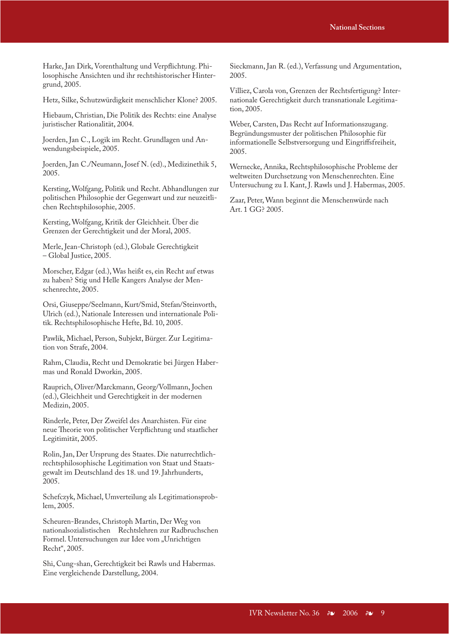Harke, Jan Dirk, Vorenthaltung und Verpflichtung. Philosophische Ansichten und ihr rechtshistorischer Hintergrund, 2005.

Hetz, Silke, Schutzwürdigkeit menschlicher Klone? 2005.

Hiebaum, Christian, Die Politik des Rechts: eine Analyse juristischer Rationalität, 2004.

Joerden, Jan C., Logik im Recht. Grundlagen und Anwendungsbeispiele, 2005.

Joerden, Jan C./Neumann, Josef N. (ed)., Medizinethik 5, 2005.

Kersting, Wolfgang, Politik und Recht. Abhandlungen zur politischen Philosophie der Gegenwart und zur neuzeitlichen Rechtsphilosophie, 2005.

Kersting, Wolfgang, Kritik der Gleichheit. Über die Grenzen der Gerechtigkeit und der Moral, 2005.

Merle, Jean-Christoph (ed.), Globale Gerechtigkeit – Global Justice, 2005.

Morscher, Edgar (ed.), Was heißt es, ein Recht auf etwas zu haben? Stig und Helle Kangers Analyse der Menschenrechte, 2005.

Orsi, Giuseppe/Seelmann, Kurt/Smid, Stefan/Steinvorth, Ulrich (ed.), Nationale Interessen und internationale Politik. Rechtsphilosophische Hefte, Bd. 10, 2005.

Pawlik, Michael, Person, Subjekt, Bürger. Zur Legitimation von Strafe, 2004.

Rahm, Claudia, Recht und Demokratie bei Jürgen Habermas und Ronald Dworkin, 2005.

Rauprich, Oliver/Marckmann, Georg/Vollmann, Jochen (ed.), Gleichheit und Gerechtigkeit in der modernen Medizin, 2005.

Rinderle, Peter, Der Zweifel des Anarchisten. Für eine neue Theorie von politischer Verpflichtung und staatlicher Legitimität, 2005.

Rolin, Jan, Der Ursprung des Staates. Die naturrechtlichrechtsphilosophische Legitimation von Staat und Staatsgewalt im Deutschland des 18. und 19. Jahrhunderts, 2005.

Schefczyk, Michael, Umverteilung als Legitimationsproblem, 2005.

Scheuren-Brandes, Christoph Martin, Der Weg von nationalsozialistischen Rechtslehren zur Radbruchschen Formel. Untersuchungen zur Idee vom "Unrichtigen Recht", 2005.

Shi, Cung-shan, Gerechtigkeit bei Rawls und Habermas. Eine vergleichende Darstellung, 2004.

Sieckmann, Jan R. (ed.), Verfassung und Argumentation, 2005.

Villiez, Carola von, Grenzen der Rechtsfertigung? Internationale Gerechtigkeit durch transnationale Legitimation, 2005.

Weber, Carsten, Das Recht auf Informationszugang. Begründungsmuster der politischen Philosophie für informationelle Selbstversorgung und Eingriffsfreiheit, 2005.

Wernecke, Annika, Rechtsphilosophische Probleme der weltweiten Durchsetzung von Menschenrechten. Eine Untersuchung zu I. Kant, J. Rawls und J. Habermas, 2005.

Zaar, Peter, Wann beginnt die Menschenwürde nach Art. 1 GG? 2005.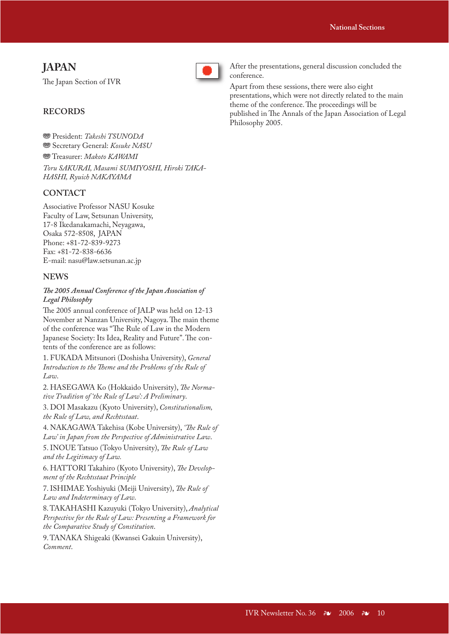### **JAPAN**

The Japan Section of IVR



After the presentations, general discussion concluded the conference.

Apart from these sessions, there were also eight presentations, which were not directly related to the main theme of the conference. The proceedings will be published in The Annals of the Japan Association of Legal Philosophy 2005.

### **RECORDS**

 $\circledast$  President: *Takeshi TSUNODA* **<sup>889</sup>** Secretary General: *Kosuke NASU* 

 $\circledast$  Treasurer: *Makoto KAWAMI Toru SAKURAI, Masami SUMIYOSHI, Hiroki TAKA-HASHI, Ryuich NAKAYAMA*

### **CONTACT**

Associative Professor NASU Kosuke Faculty of Law, Setsunan University, 17-8 Ikedanakamachi, Neyagawa, Osaka 572-8508, JAPAN Phone: +81-72-839-9273 Fax: +81-72-838-6636 E-mail: nasu@law.setsunan.ac.jp

### **NEWS**

### The 2005 Annual Conference of the Japan Association of *Legal Philosophy*

The 2005 annual conference of JALP was held on 12-13 November at Nanzan University, Nagoya. The main theme of the conference was "The Rule of Law in the Modern Japanese Society: Its Idea, Reality and Future". The contents of the conference are as follows:

1. FUKADA Mitsunori (Doshisha University), *General*  Introduction to the Theme and the Problems of the Rule of *Law*.

2. HASEGAWA Ko (Hokkaido University), *The Normative Tradition of 'the Rule of Law': A Preliminary*.

3. DOI Masakazu (Kyoto University), *Constitutionalism, the Rule of Law, and Rechtsstaat*.

4. NAKAGAWA Takehisa (Kobe University), 'The Rule of *Law' in Japan from the Perspective of Administrative Law*.

5. INOUE Tatsuo (Tokyo University), *The Rule of Law and the Legitimacy of Law.*

6. HATTORI Takahiro (Kyoto University), *The Development of the Rechtsstaat Principle*

7. ISHIMAE Yoshiyuki (Meiji University), *The Rule of Law and Indeterminacy of Law*.

8. TAKAHASHI Kazuyuki (Tokyo University), *Analytical Perspective for the Rule of Law: Presenting a Framework for the Comparative Study of Constitution*.

9. TANAKA Shigeaki (Kwansei Gakuin University), *Comment*.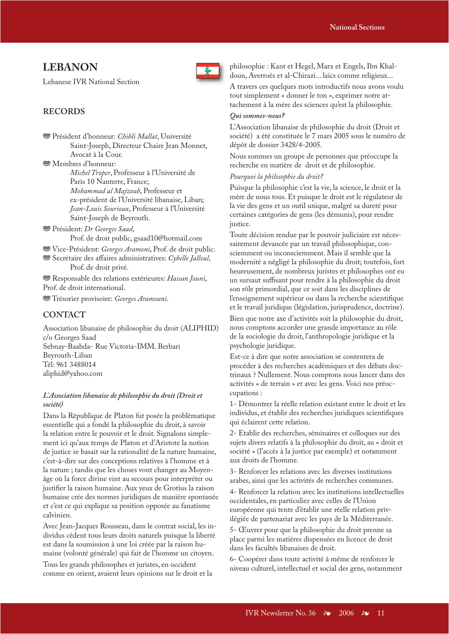### **LEBANON**

Lebanese IVR National Section



### **RECORDS**

**<sup>88</sup>** Président d'honneur: *Chibli Mallat*, Université Saint-Joseph, Directeur Chaire Jean Monnet, Avocat à la Cour.

<sup>®</sup>Membres d'honneur:

*Michel Troper*, Professeur à l'Université de Paris 10 Nanterre, France; *Mohammad al Majzoub*, Professeur et ex-président de l'Université libanaise, Liban; *Jean-Louis Sourioux*, Professeur à l'Université Saint-Joseph de Beyrouth.

j Président: *Dr Georges Saad*, Prof. de droit public, gsaad10@hotmail.com

**<sup>35</sup>** Vice-Président: *Georges Aramoni*, Prof. de droit public. **<sup>889</sup>** Secrétaire des affaires administratives: *Cybelle Jalloul*, Prof. de droit privé.

**<sup>889</sup>** Responsable des relations extérieures: *Hassan Jouni*, Prof. de droit international.

**<sup>35</sup>** Trésorier provisoire: *Georges Aramouni*.

### **CONTACT**

Association libanaise de philosophie du droit (ALIPHID) c/o Georges Saad Sebnay-Baabda- Rue Victoria-IMM. Berbari Beyrouth-Liban Tél: 961 3488014 aliphid@yahoo.com

### *L'Association libanaise de philosophie du droit (Droit et société)*

Dans la République de Platon fut posée la problématique essentielle qui a fondé la philosophie du droit, à savoir la relation entre le pouvoir et le droit. Signalons simplement ici qu'aux temps de Platon et d'Aristote la notion de justice se basait sur la rationalité de la nature humaine, c'est-à-dire sur des conceptions relatives à l'homme et à la nature ; tandis que les choses vont changer au Moyenâge où la force divine vint au secours pour interpréter ou justifier la raison humaine. Aux yeux de Grotius la raison humaine crée des normes juridiques de manière spontanée et c'est ce qui explique sa position opposée au fanatisme calvinien.

Avec Jean-Jacques Rousseau, dans le contrat social, les individus cèdent tous leurs droits naturels puisque la liberté est dans la soumission à une loi créée par la raison humaine (volonté générale) qui fait de l'homme un citoyen.

Tous les grands philosophes et juristes, en occident comme en orient, avaient leurs opinions sur le droit et la philosophie : Kant et Hegel, Marx et Engels, Ibn Khaldoun, Averroës et al-Chirazi... laïcs comme religieux...

A travers ces quelques mots introductifs nous avons voulu tout simplement « donner le ton », exprimer notre attachement à la mère des sciences qu'est la philosophie.

### *Qui sommes-nous?*

L'Association libanaise de philosophie du droit (Droit et société) a été constituée le 7 mars 2005 sous le numéro de dépôt de dossier 3428/4-2005.

Nous sommes un groupe de personnes que préoccupe la recherche en matière de droit et de philosophie.

### *Pourquoi la philosophie du droit?*

Puisque la philosophie c'est la vie, la science, le droit et la mère de nous tous. Et puisque le droit est le régulateur de la vie des gens et un outil unique, malgré sa dureté pour certaines catégories de gens (les démunis), pour rendre justice.

Toute décision rendue par le pouvoir judiciaire est nécessairement devancée par un travail philosophique, consciemment ou inconsciemment. Mais il semble que la modernité a négligé la philosophie du droit; toutefois, fort heureusement, de nombreux juristes et philosophes ont eu un sursaut suffisant pour rendre à la philosophie du droit son rôle primordial, que ce soit dans les disciplines de l'enseignement supérieur ou dans la recherche scientifique et le travail juridique (législation, jurisprudence, doctrine). Bien que notre axe d'activités soit la philosophie du droit,

nous comptons accorder une grande importance au rôle de la sociologie du droit, l'anthropologie juridique et la psychologie juridique.

Est-ce à dire que notre association se contentera de procéder à des recherches académiques et des débats doctrinaux ? Nullement. Nous comptons nous lancer dans des activités « de terrain » et avec les gens. Voici nos préoccupations :

1- Démontrer la réelle relation existant entre le droit et les individus, et établir des recherches juridiques scientifiques qui éclairent cette relation.

2- Etablir des recherches, séminaires et colloques sur des sujets divers relatifs à la philosophie du droit, au « droit et société » (l'accès à la justice par exemple) et notamment aux droits de l'homme.

3- Renforcer les relations avec les diverses institutions arabes, ainsi que les activités de recherches communes.

4- Renforcer la relation avec les institutions intellectuelles occidentales, en particulier avec celles de l'Union européenne qui tente d'établir une réelle relation privilégiée de partenariat avec les pays de la Méditerranée.

5- Œuvrer pour que la philosophie du droit prenne sa place parmi les matières dispensées en licence de droit dans les facultés libanaises de droit.

6- Coopérer dans toute activité à même de renforcer le niveau culturel, intellectuel et social des gens, notamment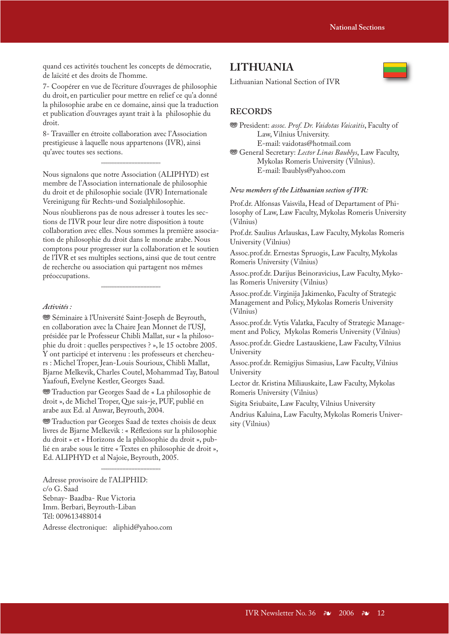quand ces activités touchent les concepts de démocratie, de laïcité et des droits de l'homme.

7- Coopérer en vue de l'écriture d'ouvrages de philosophie du droit, en particulier pour mettre en relief ce qu'a donné la philosophie arabe en ce domaine, ainsi que la traduction et publication d'ouvrages ayant trait à la philosophie du droit.

8- Travailler en étroite collaboration avec l'Association prestigieuse à laquelle nous appartenons (IVR), ainsi qu'avec toutes ses sections.

Nous signalons que notre Association (ALIPHYD) est membre de l'Association internationale de philosophie du droit et de philosophie sociale (IVR) Internationale Vereinigung für Rechts-und Sozialphilosophie.

44444444

Nous n'oublierons pas de nous adresser à toutes les sections de l'IVR pour leur dire notre disposition à toute collaboration avec elles. Nous sommes la première association de philosophie du droit dans le monde arabe. Nous comptons pour progresser sur la collaboration et le soutien de l'IVR et ses multiples sections, ainsi que de tout centre de recherche ou association qui partagent nos mêmes préoccupations.

44444444

#### *Activités :*

<sup>®</sup>Séminaire à l'Université Saint-Joseph de Beyrouth, en collaboration avec la Chaire Jean Monnet de l'USJ, présidée par le Professeur Chibli Mallat, sur « la philosophie du droit : quelles perspectives ? », le 15 octobre 2005. Y ont participé et intervenu : les professeurs et chercheurs : Michel Troper, Jean-Louis Sourioux, Chibli Mallat, Bjarne Melkevik, Charles Coutel, Mohammad Tay, Batoul Yaafoufi, Evelyne Kestler, Georges Saad.

**We Traduction par Georges Saad de « La philosophie de** droit », de Michel Troper, Que sais-je, PUF, publié en arabe aux Ed. al Anwar, Beyrouth, 2004.

**WE** Traduction par Georges Saad de textes choisis de deux livres de Bjarne Melkevik : « Réflexions sur la philosophie du droit » et « Horizons de la philosophie du droit », publié en arabe sous le titre « Textes en philosophie de droit », Ed. ALIPHYD et al Najoie, Beyrouth, 2005.

44444444

Adresse provisoire de l'ALIPHID: c/o G. Saad Sebnay- Baadba- Rue Victoria Imm. Berbari, Beyrouth-Liban Tél: 009613488014

Adresse électronique: aliphid@yahoo.com

### **LITHUANIA**



Lithuanian National Section of IVR

### **RECORDS**

**<sup>35</sup> General Secretary:** Lector Linas Baublys, Law Faculty, Mykolas Romeris University (Vilnius). E-mail: lbaublys@yahoo.com

#### *New members of the Lithuanian section of IVR:*

Prof.dr. Alfonsas Vaisvila, Head of Departament of Philosophy of Law, Law Faculty, Mykolas Romeris University (Vilnius)

Prof.dr. Saulius Arlauskas, Law Faculty, Mykolas Romeris University (Vilnius)

Assoc.prof.dr. Ernestas Spruogis, Law Faculty, Mykolas Romeris University (Vilnius)

Assoc.prof.dr. Darijus Beinoravicius, Law Faculty, Mykolas Romeris University (Vilnius)

Assoc.prof.dr. Virginija Jakimenko, Faculty of Strategic Management and Policy, Mykolas Romeris University (Vilnius)

Assoc.prof.dr. Vytis Valatka, Faculty of Strategic Management and Policy, Mykolas Romeris University (Vilnius)

Assoc.prof.dr. Giedre Lastauskiene, Law Faculty, Vilnius University

Assoc.prof.dr. Remigijus Simasius, Law Faculty, Vilnius University

Lector dr. Kristina Miliauskaite, Law Faculty, Mykolas Romeris University (Vilnius)

Sigita Sriubaite, Law Faculty, Vilnius University

Andrius Kaluina, Law Faculty, Mykolas Romeris University (Vilnius)

**<sup>&</sup>lt;sup>35</sup>** President: assoc. Prof. Dr. Vaidotas Vaicaitis, Faculty of Law, Vilnius University. E-mail: vaidotas@hotmail.com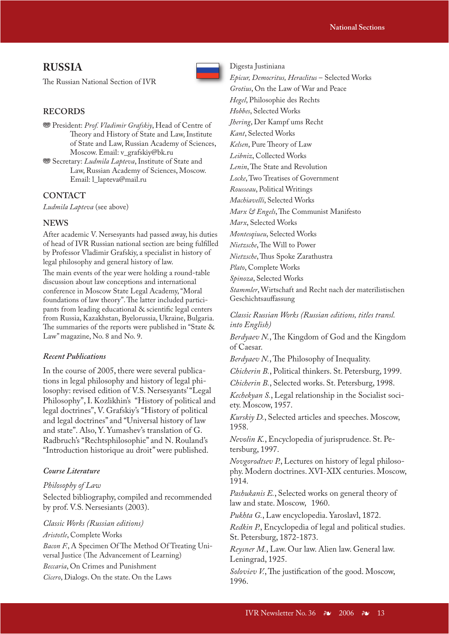### **RUSSIA**

The Russian National Section of IVR



### **RECORDS**

- **<sup>36</sup>** President: *Prof. Vladimir Grafskiy*, Head of Centre of Theory and History of State and Law, Institute of State and Law, Russian Academy of Sciences, Moscow. Email: v\_grafskiy@bk.ru
- **We Secretary:** *Ludmila Lapteva*, Institute of State and Law, Russian Academy of Sciences, Moscow. Email: l\_lapteva@mail.ru

### **CONTACT**

*Ludmila Lapteva* (see above)

### **NEWS**

After academic V. Nersesyants had passed away, his duties of head of IVR Russian national section are being fulfilled by Professor Vladimir Grafskiy, a specialist in history of legal philosophy and general history of law.

The main events of the year were holding a round-table discussion about law conceptions and international conference in Moscow State Legal Academy, "Moral foundations of law theory". The latter included participants from leading educational & scientific legal centers from Russia, Kazakhstan, Byelorussia, Ukraine, Bulgaria. The summaries of the reports were published in "State  $\&$ Law" magazine, No. 8 and No. 9.

#### *Recent Publications*

In the course of 2005, there were several publications in legal philosophy and history of legal philosophy: revised edition of V.S. Nersesyants' "Legal Philosophy", I. Kozlikhin's "History of political and legal doctrines", V. Grafskiy's "History of political and legal doctrines" and "Universal history of law and state". Also, Y. Yumashev's translation of G. Radbruch's "Rechtsphilosophie" and N. Rouland's "Introduction historique au droit" were published.

#### *Course Literature*

### *Philosophy of Law*

Selected bibliography, compiled and recommended by prof. V.S. Nersesiants (2003).

#### *Classic Works (Russian editions)*

*Aristotle*, Complete Works

Bacon F., A Specimen Of The Method Of Treating Universal Justice (The Advancement of Learning) *Beccaria*, On Crimes and Punishment *Cicero*, Dialogs. On the state. On the Laws

Digesta Justiniana *Epicur, Democritus, Heraclitus* – Selected Works *Grotius*, On the Law of War and Peace *Hegel*, Philosophie des Rechts *Hobbes*, Selected Works *Jhering*, Der Kampf ums Recht *Kant*, Selected Works *Kelsen*, Pure Theory of Law *Leibniz*, Collected Works *Lenin*, The State and Revolution *Locke*, Two Treatises of Government *Rousseau*, Political Writings *Machiavelli*, Selected Works *Marx & Engels*, The Communist Manifesto *Marx*, Selected Works *Montesqiueu*, Selected Works *Nietzsche*, The Will to Power *Nietzsche*, Thus Spoke Zarathustra *Plato*, Complete Works *Spinoza*, Selected Works *Stammler*, Wirtschaft and Recht nach der materilistischen Geschichtsauffassung

*Classic Russian Works (Russian editions, titles transl. into English)*

*Berdyaev N.*, The Kingdom of God and the Kingdom of Caesar.

*Berdyaev N.*, The Philosophy of Inequality.

*Chicherin B.*, Political thinkers. St. Petersburg, 1999. *Chicherin B.*, Selected works. St. Petersburg, 1998.

*Kechekyan S.*, Legal relationship in the Socialist society. Moscow, 1957.

*Kurskiy D.*, Selected articles and speeches. Moscow, 1958.

*Nevolin K.*, Encyclopedia of jurisprudence. St. Petersburg, 1997.

*Novgorodtsev P.*, Lectures on history of legal philosophy. Modern doctrines. XVI-XIX centuries. Moscow, 1914.

*Pashukanis E.*, Selected works on general theory of law and state. Moscow, 1960.

*Pukhta G.*, Law encyclopedia. Yaroslavl, 1872.

*Redkin P.*, Encyclopedia of legal and political studies. St. Petersburg, 1872-1873.

*Reysner M.*, Law. Our law. Alien law. General law. Leningrad, 1925.

Soloviev V., The justification of the good. Moscow, 1996.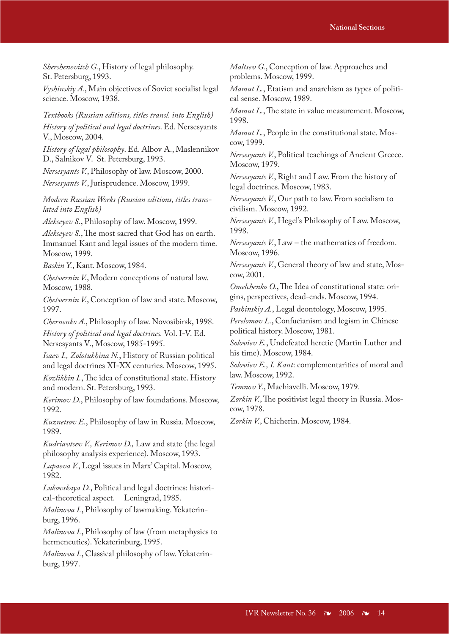*Shershenevitch G.*, History of legal philosophy. St. Petersburg, 1993.

*Vyshinskiy A.*, Main objectives of Soviet socialist legal science. Moscow, 1938.

*Textbooks (Russian editions, titles transl. into English) History of political and legal doctrines*. Ed. Nersesyants V., Moscow, 2004.

*History of legal philosophy*. Ed. Albov A., Maslennikov D., Salnikov V. St. Petersburg, 1993.

*Nersesyants V.*, Philosophy of law. Moscow, 2000. *Nersesyants V.*, Jurisprudence. Moscow, 1999.

*Modern Russian Works (Russian editions, titles translated into English)*

*Alekseyev S.*, Philosophy of law. Moscow, 1999.

*Alekseyev S.*, The most sacred that God has on earth. Immanuel Kant and legal issues of the modern time. Moscow, 1999.

*Baskin Y.*, Kant. Moscow, 1984.

*Chetvernin V.*, Modern conceptions of natural law. Moscow, 1988.

*Chetvernin V.*, Conception of law and state. Moscow, 1997.

*Chernenko A.*, Philosophy of law. Novosibirsk, 1998.

*History of political and legal doctrines.* Vol. I-V. Ed. Nersesyants V., Moscow, 1985-1995.

*Isaev I., Zolotukhina N.*, History of Russian political and legal doctrines XI-XX centuries. Moscow, 1995.

*Kozlikhin I.*, The idea of constitutional state. History and modern. St. Petersburg, 1993.

*Kerimov D.*, Philosophy of law foundations. Moscow, 1992.

*Kuznetsov E.*, Philosophy of law in Russia. Moscow, 1989.

*Kudriavtsev V., Kerimov D.,* Law and state (the legal philosophy analysis experience). Moscow, 1993.

*Lapaeva V.*, Legal issues in Marx' Capital. Moscow, 1982.

*Lukovskaya D.*, Political and legal doctrines: historical-theoretical aspect. Leningrad, 1985.

*Malinova I.*, Philosophy of lawmaking. Yekaterinburg, 1996.

*Malinova I.*, Philosophy of law (from metaphysics to hermeneutics). Yekaterinburg, 1995.

*Malinova I.*, Classical philosophy of law. Yekaterinburg, 1997.

*Maltsev G.*, Conception of law. Approaches and problems. Moscow, 1999.

*Mamut L.*, Etatism and anarchism as types of political sense. Moscow, 1989.

*Mamut L.*, The state in value measurement. Moscow, 1998.

*Mamut L.*, People in the constitutional state. Moscow, 1999.

*Nersesyants V.*, Political teachings of Ancient Greece. Moscow, 1979.

*Nersesyants V.*, Right and Law. From the history of legal doctrines. Moscow, 1983.

*Nersesyants V.*, Our path to law. From socialism to civilism. Moscow, 1992.

*Nersesyants V.*, Hegel's Philosophy of Law. Moscow, 1998.

*Nersesyants V.*, Law – the mathematics of freedom. Moscow, 1996.

*Nersesyants V.*, General theory of law and state, Moscow, 2001.

*Omelchenko O.*, The Idea of constitutional state: origins, perspectives, dead-ends. Moscow, 1994.

*Pashinskiy A.*, Legal deontology, Moscow, 1995.

*Perelomov L.*, Confucianism and legism in Chinese political history. Moscow, 1981.

*Soloviev E.*, Undefeated heretic (Martin Luther and his time). Moscow, 1984.

*Soloviev E., I. Kant*: complementarities of moral and law. Moscow, 1992.

*Temnov Y.*, Machiavelli. Moscow, 1979.

*Zorkin V.*, The positivist legal theory in Russia. Moscow, 1978.

*Zorkin V.*, Chicherin. Moscow, 1984.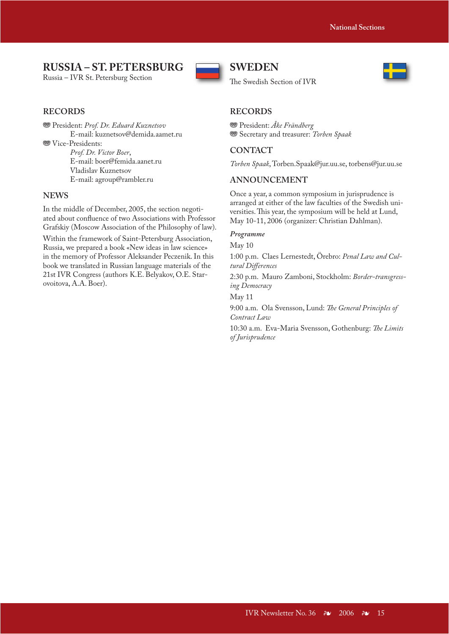### **RUSSIA – ST. PETERSBURG**

Russia – IVR St. Petersburg Section



### **RECORDS**

 $\circledast$  President: *Prof. Dr. Eduard Kuznetsov*  E-mail: kuznetsov@demida.aamet.ru **W** Vice-Presidents: *Prof. Dr. Victor Boer*,

 E-mail: boer@femida.aanet.ru Vladislav Kuznetsov E-mail: agroup@rambler.ru

### **NEWS**

In the middle of December, 2005, the section negotiated about confluence of two Associations with Professor Grafskiy (Moscow Association of the Philosophy of law).

Within the framework of Saint-Petersburg Association, Russia, we prepared a book «New ideas in law science» in the memory of Professor Aleksander Peczenik. In this book we translated in Russian language materials of the 21st IVR Congress (authors K.E. Belyakov, O.E. Starovoitova, A.A. Boer).

### **SWEDEN**

The Swedish Section of IVR



### **RECORDS**

**<sup>35</sup>** President: Åke Frändberg  $\circledast$  Secretary and treasurer: *Torben Spaak* 

### **CONTACT**

*Torben Spaak*, Torben.Spaak@jur.uu.se, torbens@jur.uu.se

### **ANNOUNCEMENT**

Once a year, a common symposium in jurisprudence is arranged at either of the law faculties of the Swedish universities. This year, the symposium will be held at Lund, May 10-11, 2006 (organizer: Christian Dahlman).

#### *Programme*

May 10

1:00 p.m. Claes Lernestedt, Örebro: *Penal Law and Cultural Diff erences*

2:30 p.m. Mauro Zamboni, Stockholm: *Border-transgressing Democracy*

May 11

9:00 a.m. Ola Svensson, Lund: *The General Principles of Contract Law*

10:30 a.m. Eva-Maria Svensson, Gothenburg: The Limits *of Jurisprudence*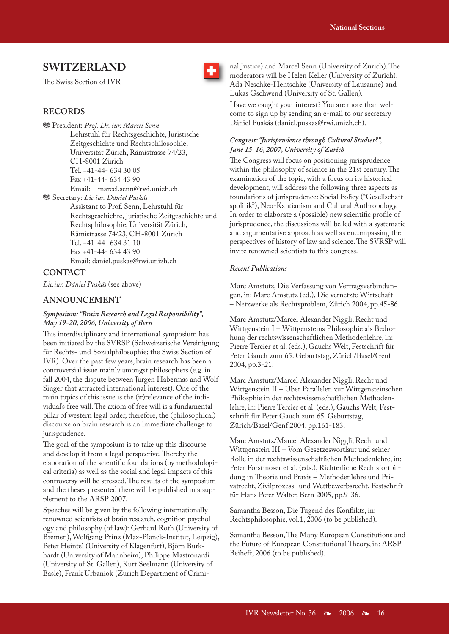### **SWITZERLAND**

The Swiss Section of IVR



 $\circledast$  President: Prof. Dr. iur. Marcel Senn Lehrstuhl für Rechtsgeschichte, Juristische Zeitgeschichte und Rechtsphilosophie, Universität Zürich, Rämistrasse 74/23, CH-8001 Zürich Tel. +41-44- 634 30 05 Fax +41-44- 634 43 90 Email: marcel.senn@rwi.unizh.ch **<sup>889</sup> Secretary:** *Lic.iur. Dániel Puskás* 

 Assistant to Prof. Senn, Lehrstuhl für Rechtsgeschichte, Juristische Zeitgeschichte und Rechtsphilosophie, Universität Zürich, Rämistrasse 74/23, CH-8001 Zürich Tel. +41-44- 634 31 10 Fax +41-44- 634 43 90 Email: daniel.puskas@rwi.unizh.ch

### **CONTACT**

*Lic.iur. Dániel Puskás* (see above)

### **ANNOUNCEMENT**

### *Symposium: "Brain Research and Legal Responsibility", May 19-20, 2006, University of Bern*

This interdisciplinary and international symposium has been initiated by the SVRSP (Schweizerische Vereinigung für Rechts- und Sozialphilosophie; the Swiss Section of IVR). Over the past few years, brain research has been a controversial issue mainly amongst philosophers (e.g. in fall 2004, the dispute between Jürgen Habermas and Wolf Singer that attracted international interest). One of the main topics of this issue is the (ir)relevance of the individual's free will. The axiom of free will is a fundamental pillar of western legal order, therefore, the (philosophical) discourse on brain research is an immediate challenge to jurisprudence.

The goal of the symposium is to take up this discourse and develop it from a legal perspective. Thereby the elaboration of the scientific foundations (by methodological criteria) as well as the social and legal impacts of this controversy will be stressed. The results of the symposium and the theses presented there will be published in a supplement to the ARSP 2007.

Speeches will be given by the following internationally renowned scientists of brain research, cognition psychology and philosophy (of law): Gerhard Roth (University of Bremen), Wolfgang Prinz (Max-Planck-Institut, Leipzig), Peter Heintel (University of Klagenfurt), Björn Burkhardt (University of Mannheim), Philippe Mastronardi (University of St. Gallen), Kurt Seelmann (University of Basle), Frank Urbaniok (Zurich Department of Criminal Justice) and Marcel Senn (University of Zurich). The moderators will be Helen Keller (University of Zurich), Ada Neschke-Hentschke (University of Lausanne) and Lukas Gschwend (University of St. Gallen).

Have we caught your interest? You are more than welcome to sign up by sending an e-mail to our secretary Dániel Puskás (daniel.puskas@rwi.unizh.ch).

### *Congress: "Jurisprudence through Cultural Studies?", June 15-16, 2007, University of Zurich*

The Congress will focus on positioning jurisprudence within the philosophy of science in the 21st century. The examination of the topic, with a focus on its historical development, will address the following three aspects as foundations of jurisprudence: Social Policy ("Gesellschaftspolitik"), Neo-Kantianism and Cultural Anthropology. In order to elaborate a (possible) new scientific profile of jurisprudence, the discussions will be led with a systematic and argumentative approach as well as encompassing the perspectives of history of law and science. The SVRSP will invite renowned scientists to this congress.

### *Recent Publications*

Marc Amstutz, Die Verfassung von Vertragsverbindungen, in: Marc Amstutz (ed.), Die vernetzte Wirtschaft – Netzwerke als Rechtsproblem, Zürich 2004, pp.45-86.

Marc Amstutz/Marcel Alexander Niggli, Recht und Wittgenstein I – Wittgensteins Philosophie als Bedrohung der rechtswissenschaftlichen Methodenlehre, in: Pierre Tercier et al. (eds.), Gauchs Welt, Festschrift für Peter Gauch zum 65. Geburtstag, Zürich/Basel/Genf 2004, pp.3-21.

Marc Amstutz/Marcel Alexander Niggli, Recht und Wittgenstein II – Über Parallelen zur Wittgensteinschen Philosphie in der rechtswissenschaftlichen Methodenlehre, in: Pierre Tercier et al. (eds.), Gauchs Welt, Festschrift für Peter Gauch zum 65. Geburtstag, Zürich/Basel/Genf 2004, pp.161-183.

Marc Amstutz/Marcel Alexander Niggli, Recht und Wittgenstein III – Vom Gesetzeswortlaut und seiner Rolle in der rechtswissenschaftlichen Methodenlehre, in: Peter Forstmoser et al. (eds.), Richterliche Rechtsfortbildung in Theorie und Praxis - Methodenlehre und Privatrecht, Zivilprozess- und Wettbewerbsrecht, Festschrift für Hans Peter Walter, Bern 2005, pp.9-36.

Samantha Besson, Die Tugend des Konflikts, in: Rechtsphilosophie, vol.1, 2006 (to be published).

Samantha Besson, The Many European Constitutions and the Future of European Constitutional Theory, in: ARSP-Beiheft, 2006 (to be published).

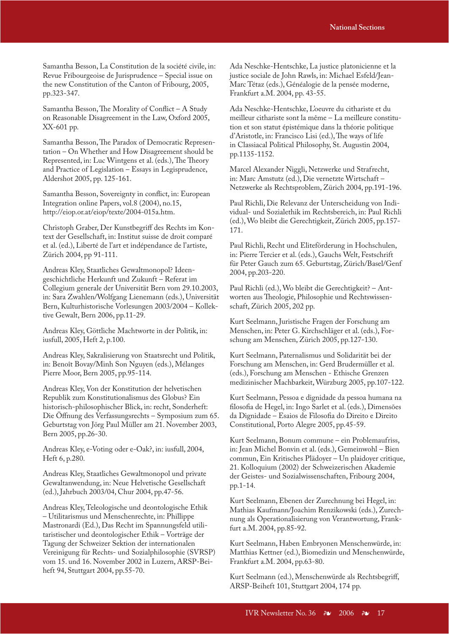Samantha Besson, La Constitution de la société civile, in: Revue Fribourgeoise de Jurisprudence – Special issue on the new Constitution of the Canton of Fribourg, 2005, pp.323-347.

Samantha Besson, The Morality of Conflict – A Study on Reasonable Disagreement in the Law, Oxford 2005, XX-601 pp.

Samantha Besson, The Paradox of Democratic Representation – On Whether and How Disagreement should be Represented, in: Luc Wintgens et al. (eds.), The Theory and Practice of Legislation – Essays in Legisprudence, Aldershot 2005, pp. 125-161.

Samantha Besson, Sovereignty in conflict, in: European Integration online Papers, vol.8 (2004), no.15, http://eiop.or.at/eiop/texte/2004-015a.htm.

Christoph Graber, Der Kunstbegriff des Rechts im Kontext der Gesellschaft, in: Institut suisse de droit comparé et al. (ed.), Liberté de l'art et indépendance de l'artiste, Zürich 2004, pp 91-111.

Andreas Kley, Staatliches Gewaltmonopol? Ideengeschichtliche Herkunft und Zukunft – Referat im Collegium generale der Universität Bern vom 29.10.2003, in: Sara Zwahlen/Wolfgang Lienemann (eds.), Universität Bern, Kulturhistorische Vorlesungen 2003/2004 – Kollektive Gewalt, Bern 2006, pp.11-29.

Andreas Kley, Göttliche Machtworte in der Politik, in: iusfull, 2005, Heft 2, p.100.

Andreas Kley, Sakralisierung von Staatsrecht und Politik, in: Benoît Bovay/Minh Son Nguyen (eds.), Mélanges Pierre Moor, Bern 2005, pp.95-114.

Andreas Kley, Von der Konstitution der helvetischen Republik zum Konstitutionalismus des Globus? Ein historisch-philosophischer Blick, in: recht, Sonderheft: Die Öffnung des Verfassungsrechts – Symposium zum 65. Geburtstag von Jörg Paul Müller am 21. November 2003, Bern 2005, pp.26-30.

Andreas Kley, e-Voting oder e-Oak?, in: iusfull, 2004, Heft 6, p.280.

Andreas Kley, Staatliches Gewaltmonopol und private Gewaltanwendung, in: Neue Helvetische Gesellschaft (ed.), Jahrbuch 2003/04, Chur 2004, pp.47-56.

Andreas Kley, Teleologische und deontologische Ethik – Utilitarismus und Menschenrechte, in: Phillippe Mastronardi (Ed.), Das Recht im Spannungsfeld utilitaristischer und deontologischer Ethik – Vorträge der Tagung der Schweizer Sektion der internationalen Vereinigung für Rechts- und Sozialphilosophie (SVRSP) vom 15. und 16. November 2002 in Luzern, ARSP-Beiheft 94, Stuttgart 2004, pp.55-70.

Ada Neschke-Hentschke, La justice platonicienne et la justice sociale de John Rawls, in: Michael Esfeld/Jean-Marc Tétaz (eds.), Généalogie de la pensée moderne, Frankfurt a.M. 2004, pp. 43-55.

Ada Neschke-Hentschke, L'oeuvre du cithariste et du meilleur cithariste sont la même – La meilleure constitution et son statut épistémique dans la théorie politique d'Aristotle, in: Francisco Lisi (ed.), The ways of life in Classiacal Political Philosophy, St. Augustin 2004, pp.1135-1152.

Marcel Alexander Niggli, Netzwerke und Strafrecht, in: Marc Amstutz (ed.), Die vernetzte Wirtschaft – Netzwerke als Rechtsproblem, Zürich 2004, pp.191-196.

Paul Richli, Die Relevanz der Unterscheidung von Individual- und Sozialethik im Rechtsbereich, in: Paul Richli (ed.), Wo bleibt die Gerechtigkeit, Zürich 2005, pp.157- 171.

Paul Richli, Recht und Eliteförderung in Hochschulen, in: Pierre Tercier et al. (eds.), Gauchs Welt, Festschrift für Peter Gauch zum 65. Geburtstag, Zürich/Basel/Genf 2004, pp.203-220.

Paul Richli (ed.), Wo bleibt die Gerechtigkeit? – Antworten aus Theologie, Philosophie und Rechtswissenschaft, Zürich 2005, 202 pp.

Kurt Seelmann, Juristische Fragen der Forschung am Menschen, in: Peter G. Kirchschläger et al. (eds.), Forschung am Menschen, Zürich 2005, pp.127-130.

Kurt Seelmann, Paternalismus und Solidarität bei der Forschung am Menschen, in: Gerd Brudermüller et al. (eds.), Forschung am Menschen - Ethische Grenzen medizinischer Machbarkeit, Würzburg 2005, pp.107-122.

Kurt Seelmann, Pessoa e dignidade da pessoa humana na filosofia de Hegel, in: Ingo Sarlet et al. (eds.), Dimensões da Dignidade – Esaios de Filosofia do Direito e Direito Constitutional, Porto Alegre 2005, pp.45-59.

Kurt Seelmann, Bonum commune – ein Problemaufriss, in: Jean Michel Bonvin et al. (eds.), Gemeinwohl – Bien commun, Ein Kritisches Plädoyer – Un plaidoyer critique, 21. Kolloquium (2002) der Schweizerischen Akademie der Geistes- und Sozialwissenschaften, Fribourg 2004, pp.1-14.

Kurt Seelmann, Ebenen der Zurechnung bei Hegel, in: Mathias Kaufmann/Joachim Renzikowski (eds.), Zurechnung als Operationalisierung von Verantwortung, Frankfurt a.M. 2004, pp.85-92.

Kurt Seelmann, Haben Embryonen Menschenwürde, in: Matthias Kettner (ed.), Biomedizin und Menschenwürde, Frankfurt a.M. 2004, pp.63-80.

Kurt Seelmann (ed.), Menschenwürde als Rechtsbegriff, ARSP-Beiheft 101, Stuttgart 2004, 174 pp.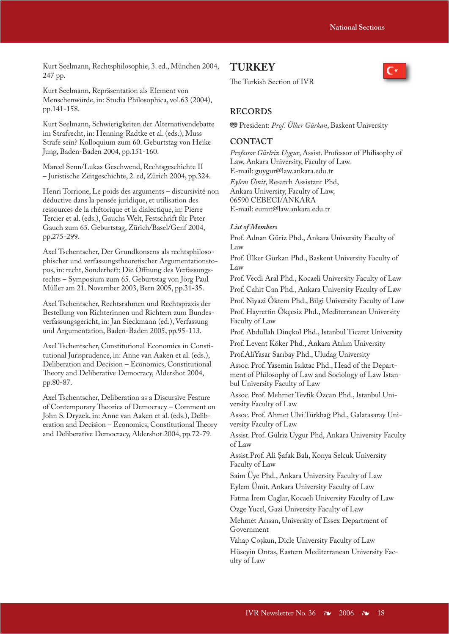Kurt Seelmann, Rechtsphilosophie, 3. ed., München 2004, 247 pp.

Kurt Seelmann, Repräsentation als Element von Menschenwürde, in: Studia Philosophica, vol.63 (2004), pp.141-158.

Kurt Seelmann, Schwierigkeiten der Alternativendebatte im Strafrecht, in: Henning Radtke et al. (eds.), Muss Strafe sein? Kolloquium zum 60. Geburtstag von Heike Jung, Baden-Baden 2004, pp.151-160.

Marcel Senn/Lukas Geschwend, Rechtsgeschichte II – Juristische Zeitgeschichte, 2. ed, Zürich 2004, pp.324.

Henri Torrione, Le poids des arguments – discursivité non déductive dans la pensée juridique, et utilisation des ressources de la rhétorique et la dialectique, in: Pierre Tercier et al. (eds.), Gauchs Welt, Festschrift für Peter Gauch zum 65. Geburtstag, Zürich/Basel/Genf 2004, pp.275-299.

Axel Tschentscher, Der Grundkonsens als rechtsphilosophischer und verfassungstheoretischer Argumentationstopos, in: recht, Sonderheft: Die Öffnung des Verfassungsrechts – Symposium zum 65. Geburtstag von Jörg Paul Müller am 21. November 2003, Bern 2005, pp.31-35.

Axel Tschentscher, Rechtsrahmen und Rechtspraxis der Bestellung von Richterinnen und Richtern zum Bundesverfassungsgericht, in: Jan Sieckmann (ed.), Verfassung und Argumentation, Baden-Baden 2005, pp.95-113.

Axel Tschentscher, Constitutional Economics in Constitutional Jurisprudence, in: Anne van Aaken et al. (eds.), Deliberation and Decision – Economics, Constitutional Theory and Deliberative Democracy, Aldershot 2004, pp.80-87.

Axel Tschentscher, Deliberation as a Discursive Feature of Contemporary Theories of Democracy - Comment on John S. Dryzek, in: Anne van Aaken et al. (eds.), Deliberation and Decision – Economics, Constitutional Theory and Deliberative Democracy, Aldershot 2004, pp.72-79.

### **TURKEY**

The Turkish Section of IVR



### **RECORDS**

**<sup>88</sup>** President: Prof. Ülker Gürkan, Baskent University

### **CONTACT**

*Professor Gürlriz Uygur*, Assist. Professor of Philisophy of Law, Ankara University, Faculty of Law. E-mail: guygur@law.ankara.edu.tr

*Eylem Ümit*, Resarch Assistant Phd, Ankara University, Faculty of Law, 06590 CEBECI/ANKARA E-mail: eumit@law.ankara.edu.tr

### *List of Members*

Prof. Adnan Güriz Phd., Ankara University Faculty of Law

Prof. Ülker Gürkan Phd., Baskent University Faculty of Law

Prof. Vecdi Aral Phd., Kocaeli University Faculty of Law Prof. Cahit Can Phd., Ankara University Faculty of Law Prof. Niyazi Öktem Phd., Bilgi University Faculty of Law

Prof. Hayrettin Ökçesiz Phd., Mediterranean University Faculty of Law

Prof. Abdullah Dinçkol Phd., Istanbul Ticaret University Prof. Levent Köker Phd., Ankara Atılım University

Prof.AliYasar Sarıbay Phd., Uludag University

Assoc. Prof. Yasemin Isıktac Phd., Head of the Department of Philosophy of Law and Sociology of Law Istanbul University Faculty of Law

Assoc. Prof. Mehmet Tevfik Özcan Phd., Istanbul University Faculty of Law

Assoc. Prof. Ahmet Ulvi Türkbağ Phd., Galatasaray University Faculty of Law

Assist. Prof. Gülriz Uygur Phd, Ankara University Faculty of Law

Assist.Prof. Ali Şafak Balı, Konya Selcuk University Faculty of Law

Saim Üye Phd., Ankara University Faculty of Law

Eylem Ümit, Ankara University Faculty of Law

Fatma İrem Caglar, Kocaeli University Faculty of Law

Ozge Yucel, Gazi University Faculty of Law

Mehmet Arısan, University of Essex Department of Government

Vahap Coşkun, Dicle University Faculty of Law Hüseyin Ontas, Eastern Mediterranean University Faculty of Law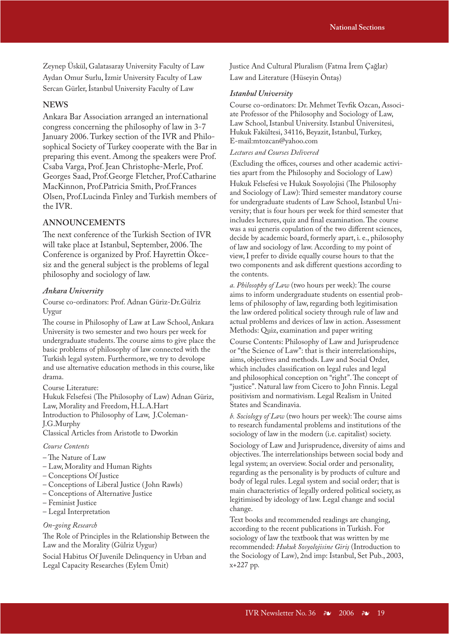Zeynep Üskül, Galatasaray University Faculty of Law Aydan Omur Surlu, İzmir University Faculty of Law Sercan Gürler, İstanbul University Faculty of Law

### **NEWS**

Ankara Bar Association arranged an international congress concerning the philosophy of law in 3-7 January 2006. Turkey section of the IVR and Philosophical Society of Turkey cooperate with the Bar in preparing this event. Among the speakers were Prof. Csaba Varga, Prof. Jean Christophe-Merle, Prof. Georges Saad, Prof.George Fletcher, Prof.Catharine MacKinnon, Prof.Patricia Smith, Prof.Frances Olsen, Prof.Lucinda Finley and Turkish members of the IVR.

### **ANNOUNCEMENTS**

The next conference of the Turkish Section of IVR will take place at Istanbul, September, 2006. The Conference is organized by Prof. Hayrettin Ökcesiz and the general subject is the problems of legal philosophy and sociology of law.

#### *Ankara University*

Course co-ordinators: Prof. Adnan Güriz-Dr.Gülriz Uygur

The course in Philosophy of Law at Law School, Ankara University is two semester and two hours per week for undergraduate students. The course aims to give place the basic problems of philosophy of law connected with the Turkish legal system. Furthermore, we try to devolope and use alternative education methods in this course, like drama.

Course Literature:

Hukuk Felsefesi (The Philosophy of Law) Adnan Güriz, Law, Morality and Freedom, H.L.A.Hart Introduction to Philosophy of Law, J.Coleman-J.G.Murphy

Classical Articles from Aristotle to Dworkin

### *Course Contents*

- The Nature of Law
- Law, Morality and Human Rights
- Conceptions Of Justice
- Conceptions of Liberal Justice ( John Rawls)
- Conceptions of Alternative Justice
- Feminist Justice
- Legal Interpretation

#### *On-going Research*

The Role of Principles in the Relationship Between the Law and the Morality (Gülriz Uygur)

Social Habitus Of Juvenile Delinquency in Urban and Legal Capacity Researches (Eylem Ümit)

Justice And Cultural Pluralism (Fatma İrem Çağlar) Law and Literature (Hüseyin Öntaş)

### *Istanbul University*

Course co-ordinators: Dr. Mehmet Tevfik Ozcan, Associate Professor of the Philosophy and Sociology of Law, Law School, Istanbul University. Istanbul Üniversitesi, Hukuk Fakültesi, 34116, Beyazit, Istanbul, Turkey, E-mail:mtozcan@yahoo.com

#### *Lectures and Courses Delivered*

(Excluding the offices, courses and other academic activities apart from the Philosophy and Sociology of Law)

Hukuk Felsefesi ve Hukuk Sosyolojisi (The Philosophy and Sociology of Law): Third semester mandatory course for undergraduate students of Law School, Istanbul University; that is four hours per week for third semester that includes lectures, quiz and final examination. The course was a sui generis copulation of the two different sciences, decide by academic board, formerly apart, i. e., philosophy of law and sociology of law. According to my point of view, I prefer to divide equally course hours to that the two components and ask different questions according to the contents.

*a. Philosophy of Law* (two hours per week): The course aims to inform undergraduate students on essential problems of philosophy of law, regarding both legitimisation the law ordered political society through rule of law and actual problems and devices of law in action. Assessment Methods: Quiz, examination and paper writing

Course Contents: Philosophy of Law and Jurisprudence or "the Science of Law": that is their interrelationships, aims, objectives and methods. Law and Social Order, which includes classification on legal rules and legal and philosophical conception on "right". The concept of "justice". Natural law from Cicero to John Finnis. Legal positivism and normativism. Legal Realism in United States and Scandinavia.

*b. Sociology of Law* (two hours per week): The course aims to research fundamental problems and institutions of the sociology of law in the modern (i.e. capitalist) society.

Sociology of Law and Jurisprudence, diversity of aims and objectives. The interrelationships between social body and legal system; an overview. Social order and personality, regarding as the personality is by products of culture and body of legal rules. Legal system and social order; that is main characteristics of legally ordered political society, as legitimised by ideology of law. Legal change and social change.

Text books and recommended readings are changing, according to the recent publications in Turkish. For sociology of law the textbook that was written by me recommended: *Hukuk Sosyolojisine Giriş* (Introduction to the Sociology of Law), 2nd imp: Istanbul, Set Pub., 2003, x+227 pp.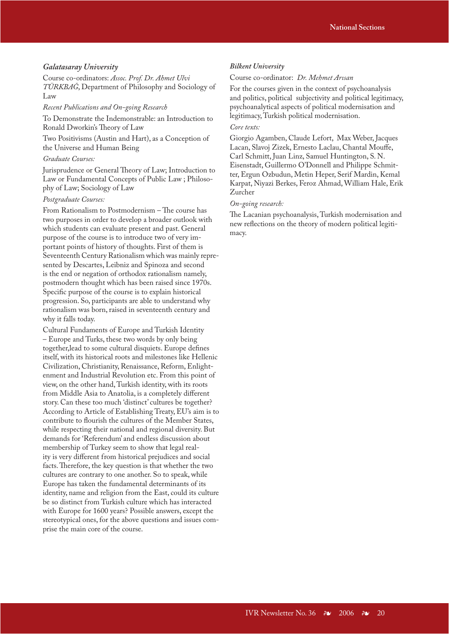#### *Galatasaray University*

Course co-ordinators: *Assoc. Prof. Dr. Ahmet Ulvi TÜRKBAĞ*, Department of Philosophy and Sociology of Law

#### *Recent Publications and On-going Research*

To Demonstrate the Indemonstrable: an Introduction to Ronald Dworkin's Theory of Law

Two Positivisms (Austin and Hart), as a Conception of the Universe and Human Being

#### *Graduate Courses:*

Jurisprudence or General Theory of Law; Introduction to Law or Fundamental Concepts of Public Law ; Philosophy of Law; Sociology of Law

#### *Postgraduate Courses:*

From Rationalism to Postmodernism – The course has two purposes in order to develop a broader outlook with which students can evaluate present and past. General purpose of the course is to introduce two of very important points of history of thoughts. First of them is Seventeenth Century Rationalism which was mainly represented by Descartes, Leibniz and Spinoza and second is the end or negation of orthodox rationalism namely, postmodern thought which has been raised since 1970s. Specific purpose of the course is to explain historical progression. So, participants are able to understand why rationalism was born, raised in seventeenth century and why it falls today.

Cultural Fundaments of Europe and Turkish Identity – Europe and Turks, these two words by only being together,lead to some cultural disquiets. Europe defines itself, with its historical roots and milestones like Hellenic Civilization, Christianity, Renaissance, Reform, Enlightenment and Industrial Revolution etc. From this point of view, on the other hand, Turkish identity, with its roots from Middle Asia to Anatolia, is a completely different story. Can these too much 'distinct' cultures be together? According to Article of Establishing Treaty, EU's aim is to contribute to flourish the cultures of the Member States, while respecting their national and regional diversity. But demands for 'Referendum' and endless discussion about membership of Turkey seem to show that legal reality is very different from historical prejudices and social facts. Therefore, the key question is that whether the two cultures are contrary to one another. So to speak, while Europe has taken the fundamental determinants of its identity, name and religion from the East, could its culture be so distinct from Turkish culture which has interacted with Europe for 1600 years? Possible answers, except the stereotypical ones, for the above questions and issues comprise the main core of the course.

#### *Bilkent University*

#### Course co-ordinator: *Dr. Mehmet Arısan*

For the courses given in the context of psychoanalysis and politics, political subjectivity and political legitimacy, psychoanalytical aspects of political modernisation and legitimacy, Turkish political modernisation.

### *Core texts:*

Giorgio Agamben, Claude Lefort, Max Weber, Jacques Lacan, Slavoj Zizek, Ernesto Laclau, Chantal Mouffe, Carl Schmitt, Juan Linz, Samuel Huntington, S. N. Eisenstadt, Guillermo O'Donnell and Philippe Schmitter, Ergun Ozbudun, Metin Heper, Serif Mardin, Kemal Karpat, Niyazi Berkes, Feroz Ahmad, William Hale, Erik Zurcher

#### *On-going research:*

The Lacanian psychoanalysis, Turkish modernisation and new reflections on the theory of modern political legitimacy.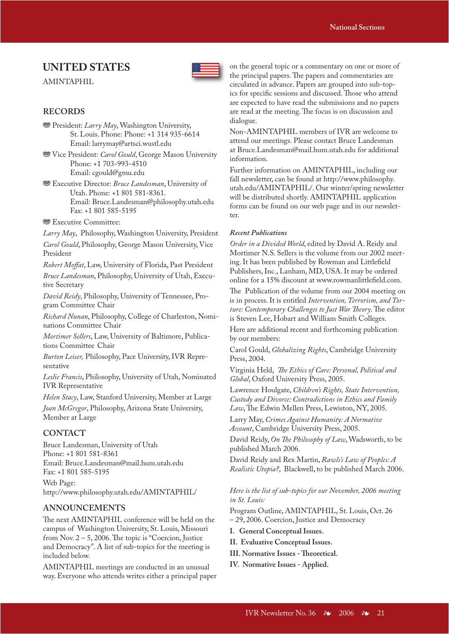### **UNITED STATES**

AMINTAPHIL



### **RECORDS**

- **<sup>35</sup>** President: *Larry May*, Washington University, St. Louis. Phone: Phone: +1 314 935-6614 Email: larrymay@artsci.wustl.edu
- **<sup>886</sup>** Vice President: *Carol Gould*, George Mason University Phone: +1 703-993-4510 Email: cgould@gmu.edu
- **<sup>35</sup>** Executive Director: *Bruce Landesman*, University of Utah. Phone: +1 801 581-8361. Email: Bruce.Landesman@philosophy.utah.edu Fax: +1 801 585-5195
- **<sup>®</sup> Executive Committee:**

*Larry May*, Philosophy, Washington University, President *Carol Gould*, Philosophy, George Mason University, Vice President

*Robert Moffat*, Law, University of Florida, Past President

*Bruce Landesman*, Philosophy, University of Utah, Executive Secretary

*David Reidy*, Philosophy, University of Tennessee, Program Committee Chair

*Richard Nunan*, Philosophy, College of Charleston, Nominations Committee Chair

*Mortimer Sellers*, Law, University of Baltimore, Publications Committee Chair

*Burton Leiser,* Philosophy, Pace University, IVR Representative

*Leslie Francis*, Philosophy, University of Utah, Nominated IVR Representative

*Helen Stacy*, Law, Stanford University, Member at Large

*Joan McGregor*, Philosophy, Arizona State University, Member at Large

### **CONTACT**

Bruce Landesman, University of Utah Phone: +1 801 581-8361 Email: Bruce.Landesman@mail.hum.utah.edu Fax: +1 801 585-5195

Web Page: http://www.philosophy.utah.edu/AMINTAPHIL/

### **ANNOUNCEMENTS**

The next AMINTAPHIL conference will be held on the campus of Washington University, St. Louis, Missouri from Nov.  $2 - 5$ , 2006. The topic is "Coercion, Justice and Democracy". A list of sub-topics for the meeting is included below.

AMINTAPHIL meetings are conducted in an unusual way. Everyone who attends writes either a principal paper on the general topic or a commentary on one or more of the principal papers. The papers and commentaries are circulated in advance. Papers are grouped into sub-topics for specific sessions and discussed. Those who attend are expected to have read the submissions and no papers are read at the meeting. The focus is on discussion and dialogue.

Non-AMINTAPHIL members of IVR are welcome to attend our meetings. Please contact Bruce Landesman at Bruce.Landesman@mail.hum.utah.edu for additional information.

Further information on AMINTAPHIL, including our fall newsletter, can be found at http://www.philosophy. utah.edu/AMINTAPHIL/. Our winter/spring newsletter will be distributed shortly. AMINTAPHIL application forms can be found on our web page and in our newsletter.

#### *Recent Publications*

*Order in a Divided World*, edited by David A. Reidy and Mortimer N.S. Sellers is the volume from our 2002 meeting. It has been published by Rowman and Littlefield Publishers, Inc., Lanham, MD, USA. It may be ordered online for a 15% discount at www.rowmanlittlefield.com.

The Publication of the volume from our 2004 meeting on is in process. It is entitled *Intervention, Terrorism, and Torture: Contemporary Challenges to Just War Theory*. The editor is Steven Lee, Hobart and William Smith Colleges.

Here are additional recent and forthcoming publication by our members:

Carol Gould, *Globalizing Rights*, Cambridge University Press, 2004.

Virginia Held, The Ethics of Care: Personal, Political and *Global*, Oxford University Press, 2005.

Lawrence Houlgate, *Children's Rights, State Intervention, Custody and Divorce: Contradictions in Ethics and Family*  Law, The Edwin Mellen Press, Lewiston, NY, 2005.

Larry May, *Crimes Against Humanity: A Normative Account*, Cambridge University Press, 2005.

David Reidy, *On The Philosophy of Law*, Wadsworth, to be published March 2006.

David Reidy and Rex Martin, *Rawls's Law of Peoples: A Realistic Utopia?*, Blackwell, to be published March 2006.

*Here is the list of sub-topics for our November, 2006 meeting in St. Louis:*

Program Outline, AMINTAPHIL, St. Louis, Oct. 26 – 29, 2006. Coercion, Justice and Democracy

**I. General Conceptual Issues.**

- **II. Evaluative Conceptual Issues.**
- **III. Normative Issues Theoretical.**
- **IV. Normative Issues Applied.**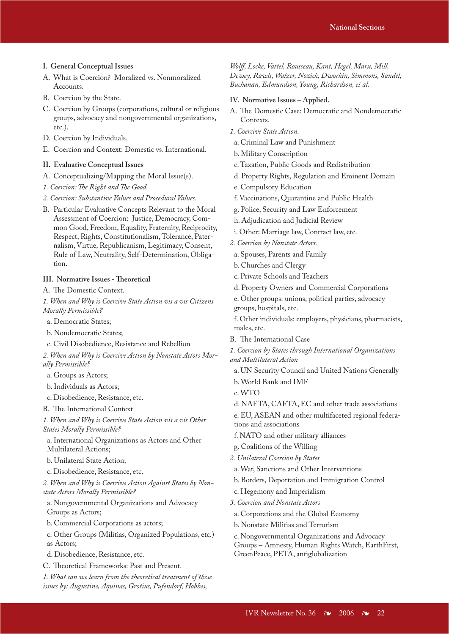- **I. General Conceptual Issues**
- A. What is Coercion? Moralized vs. Nonmoralized Accounts.
- B. Coercion by the State.
- C. Coercion by Groups (corporations, cultural or religious groups, advocacy and nongovernmental organizations, etc.).
- D. Coercion by Individuals.
- E. Coercion and Context: Domestic vs. International.

#### **II. Evaluative Conceptual Issues**

- A. Conceptualizing/Mapping the Moral Issue(s).
- *1. Coercion: The Right and The Good.*
- *2. Coercion: Substantive Values and Procedural Values.*
- B. Particular Evaluative Concepts Relevant to the Moral Assessment of Coercion: Justice, Democracy, Common Good, Freedom, Equality, Fraternity, Reciprocity, Respect, Rights, Constitutionalism, Tolerance, Paternalism, Virtue, Republicanism, Legitimacy, Consent, Rule of Law, Neutrality, Self-Determination, Obligation.

### **III. Normative Issues - Theoretical**

A. The Domestic Context.

*1. When and Why is Coercive State Action vis a vis Citizens Morally Permissible?*

a. Democratic States;

b. Nondemocratic States;

c. Civil Disobedience, Resistance and Rebellion

*2. When and Why is Coercive Action by Nonstate Actors Morally Permissible?*

a. Groups as Actors;

b. Individuals as Actors;

c. Disobedience, Resistance, etc.

B. The International Context

*1. When and Why is Coercive State Action vis a vis Other States Morally Permissible?*

a. International Organizations as Actors and Other Multilateral Actions;

b. Unilateral State Action;

c. Disobedience, Resistance, etc.

*2. When and Why is Coercive Action Against States by Nonstate Actors Morally Permissible?*

a. Nongovernmental Organizations and Advocacy Groups as Actors;

b. Commercial Corporations as actors;

c. Other Groups (Militias, Organized Populations, etc.) as Actors;

d. Disobedience, Resistance, etc.

C. Theoretical Frameworks: Past and Present.

*1. What can we learn from the theoretical treatment of these issues by: Augustine, Aquinas, Grotius, Pufendorf, Hobbes,* 

*Wolff, Locke, Vattel, Rousseau, Kant, Hegel, Marx, Mill, Dewey, Rawls, Walzer, Nozick, Dworkin, Simmons, Sandel, Buchanan, Edmundson, Young, Richardson, et al.*

#### **IV. Normative Issues – Applied.**

- A. The Domestic Case: Democratic and Nondemocratic Contexts.
- *1. Coercive State Action.*
- a. Criminal Law and Punishment
- b. Military Conscription
- c. Taxation, Public Goods and Redistribution
- d. Property Rights, Regulation and Eminent Domain
- e. Compulsory Education
- f. Vaccinations, Quarantine and Public Health
- g. Police, Security and Law Enforcement
- h. Adjudication and Judicial Review
- i. Other: Marriage law, Contract law, etc.
- *2. Coercion by Nonstate Actors.*
- a. Spouses, Parents and Family
- b. Churches and Clergy
- c. Private Schools and Teachers
- d. Property Owners and Commercial Corporations
- e. Other groups: unions, political parties, advocacy groups, hospitals, etc.
- f. Other individuals: employers, physicians, pharmacists, males, etc.
- B. The International Case

*1. Coercion by States through International Organizations and Multilateral Action*

a. UN Security Council and United Nations Generally

b. World Bank and IMF

- c. WTO
- d. NAFTA, CAFTA, EC and other trade associations

e. EU, ASEAN and other multifaceted regional federations and associations

- f. NATO and other military alliances
- g. Coalitions of the Willing
- *2. Unilateral Coercion by States*
- a. War, Sanctions and Other Interventions
- b. Borders, Deportation and Immigration Control
- c. Hegemony and Imperialism
- *3. Coercion and Nonstate Actors*
- a. Corporations and the Global Economy
- b. Nonstate Militias and Terrorism
- c. Nongovernmental Organizations and Advocacy

Groups – Amnesty, Human Rights Watch, EarthFirst, GreenPeace, PETA, antiglobalization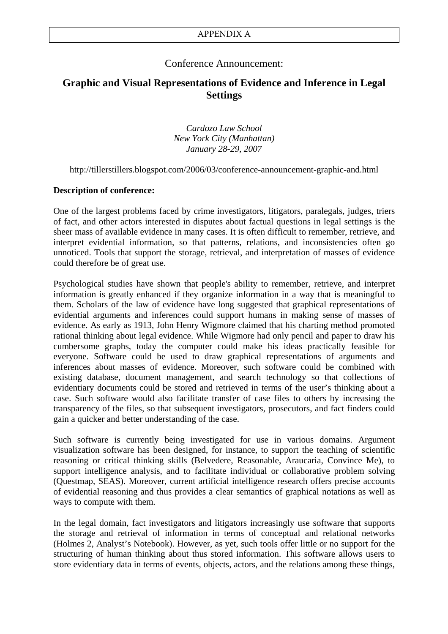### Conference Announcement:

### **Graphic and Visual Representations of Evidence and Inference in Legal Settings**

*Cardozo Law School New York City (Manhattan) January 28-29, 2007* 

http://tillerstillers.blogspot.com/2006/03/conference-announcement-graphic-and.html

### **Description of conference:**

One of the largest problems faced by crime investigators, litigators, paralegals, judges, triers of fact, and other actors interested in disputes about factual questions in legal settings is the sheer mass of available evidence in many cases. It is often difficult to remember, retrieve, and interpret evidential information, so that patterns, relations, and inconsistencies often go unnoticed. Tools that support the storage, retrieval, and interpretation of masses of evidence could therefore be of great use.

Psychological studies have shown that people's ability to remember, retrieve, and interpret information is greatly enhanced if they organize information in a way that is meaningful to them. Scholars of the law of evidence have long suggested that graphical representations of evidential arguments and inferences could support humans in making sense of masses of evidence. As early as 1913, John Henry Wigmore claimed that his charting method promoted rational thinking about legal evidence. While Wigmore had only pencil and paper to draw his cumbersome graphs, today the computer could make his ideas practically feasible for everyone. Software could be used to draw graphical representations of arguments and inferences about masses of evidence. Moreover, such software could be combined with existing database, document management, and search technology so that collections of evidentiary documents could be stored and retrieved in terms of the user's thinking about a case. Such software would also facilitate transfer of case files to others by increasing the transparency of the files, so that subsequent investigators, prosecutors, and fact finders could gain a quicker and better understanding of the case.

Such software is currently being investigated for use in various domains. Argument visualization software has been designed, for instance, to support the teaching of scientific reasoning or critical thinking skills (Belvedere, Reasonable, Araucaria, Convince Me), to support intelligence analysis, and to facilitate individual or collaborative problem solving (Questmap, SEAS). Moreover, current artificial intelligence research offers precise accounts of evidential reasoning and thus provides a clear semantics of graphical notations as well as ways to compute with them.

In the legal domain, fact investigators and litigators increasingly use software that supports the storage and retrieval of information in terms of conceptual and relational networks (Holmes 2, Analyst's Notebook). However, as yet, such tools offer little or no support for the structuring of human thinking about thus stored information. This software allows users to store evidentiary data in terms of events, objects, actors, and the relations among these things,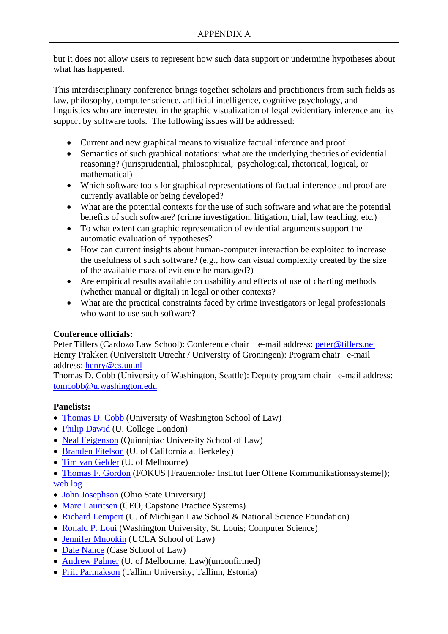but it does not allow users to represent how such data support or undermine hypotheses about what has happened.

This interdisciplinary conference brings together scholars and practitioners from such fields as law, philosophy, computer science, artificial intelligence, cognitive psychology, and linguistics who are interested in the graphic visualization of legal evidentiary inference and its support by software tools. The following issues will be addressed:

- Current and new graphical means to visualize factual inference and proof
- Semantics of such graphical notations: what are the underlying theories of evidential reasoning? (jurisprudential, philosophical, psychological, rhetorical, logical, or mathematical)
- Which software tools for graphical representations of factual inference and proof are currently available or being developed?
- What are the potential contexts for the use of such software and what are the potential benefits of such software? (crime investigation, litigation, trial, law teaching, etc.)
- To what extent can graphic representation of evidential arguments support the automatic evaluation of hypotheses?
- How can current insights about human-computer interaction be exploited to increase the usefulness of such software? (e.g., how can visual complexity created by the size of the available mass of evidence be managed?)
- Are empirical results available on usability and effects of use of charting methods (whether manual or digital) in legal or other contexts?
- What are the practical constraints faced by crime investigators or legal professionals who want to use such software?

### **Conference officials:**

Peter Tillers (Cardozo Law School): Conference chair e-mail address: [peter@tillers.net](mailto:peter@tillers.net) Henry Prakken (Universiteit Utrecht / University of Groningen): Program chair e-mail address: [henry@cs.uu.nl](mailto:henry@cs.uu.nl)

Thomas D. Cobb (University of Washington, Seattle): Deputy program chair e-mail address: [tomcobb@u.washington.edu](mailto:tomcobb@u.washington.edu)

### **Panelists:**

- [Thomas D. Cobb](http://www.law.washington.edu/Faculty/Cobb/) (University of Washington School of Law)
- [Philip Dawid](http://www.homepages.ucl.ac.uk/%7Eucak06d/) (U. College London)
- [Neal Feigenson](http://law.quinnipiac.edu/x541.xml) (Quinnipiac University School of Law)
- [Branden Fitelson](http://fitelson.org/) (U. of California at Berkeley)
- [Tim van Gelder](http://www.arts.unimelb.edu.au/%7Etgelder/) (U. of Melbourne)

• [Thomas F. Gordon](http://www.fokus.fhg.de/home) (FOKUS [Frauenhofer Institut fuer Offene Kommunikationssysteme]); [web log](http://www.tfgordon.de/)

- [John Josephson](http://www.cse.ohio-state.edu/%7Ejj/) (Ohio State University)
- [Marc Lauritsen](http://www.capstonepractice.com/) (CEO, Capstone Practice Systems)
- [Richard Lempert](http://cgi2.www.law.umich.edu/_FacultyBioPage/facultybiopagenew.asp?ID=159) (U. of Michigan Law School & National Science Foundation)
- [Ronald P. Loui](http://www.cse.wustl.edu/%7Eloui/) (Washington University, St. Louis; Computer Science)
- [Jennifer Mnookin](http://www.law.ucla.edu/home/index.asp?page=1924) (UCLA School of Law)
- [Dale Nance](http://lawwww.cwru.edu/faculty/faculty_detail.asp?adj=0&id=138) (Case School of Law)
- [Andrew Palmer](http://www.law.unimelb.edu.au/db/profile/academic.cfm?username=Andrew%20Palmer) (U. of Melbourne, Law)(unconfirmed)
- [Priit Parmakson](http://www.tlu.ee/%7Epriitp/) (Tallinn University, Tallinn, Estonia)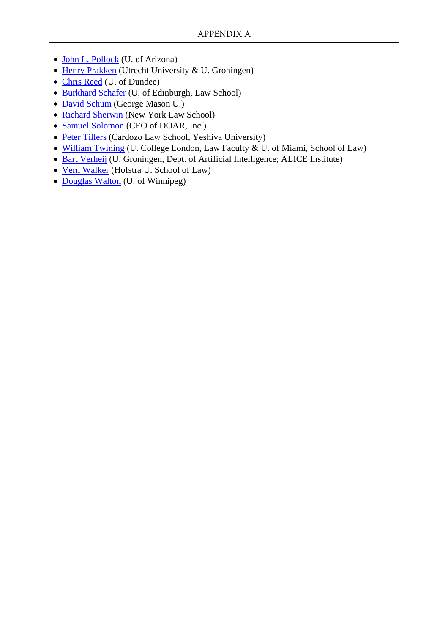- [John L. Pollock](http://www.u.arizona.edu/%7Epollock/) (U. of Arizona)
- [Henry Prakken](http://www.cs.uu.nl/people/henry/) (Utrecht University & U. Groningen)
- [Chris Reed](http://www.computing.dundee.ac.uk/staff/creed/) (U. of Dundee)
- [Burkhard Schafer](http://www.law.ed.ac.uk/staff/burkhardschafer.asp) (U. of Edinburgh, Law School)
- [David Schum](http://www.gmu.edu/departments/seor/faculty/schum.html) (George Mason U.)
- [Richard Sherwin](http://www.nyls.edu/pages/400.asp) (New York Law School)
- [Samuel Solomon](http://www.doar.com/) (CEO of DOAR, Inc.)
- [Peter Tillers](http://tillers.net/) (Cardozo Law School, Yeshiva University)
- [William Twining](http://www.ucl.ac.uk/laws/academics/profiles/index.shtml?twining) (U. College London, Law Faculty & U. of Miami, School of Law)
- [Bart Verheij](http://www.ai.rug.nl/%7Everheij/) (U. Groningen, Dept. of Artificial Intelligence; ALICE Institute)
- [Vern Walker](http://people.hofstra.edu/faculty/vern_r_walker/Index.htm) (Hofstra U. School of Law)
- [Douglas Walton](http://io.uwinnipeg.ca/%7Ewalton/) (U. of Winnipeg)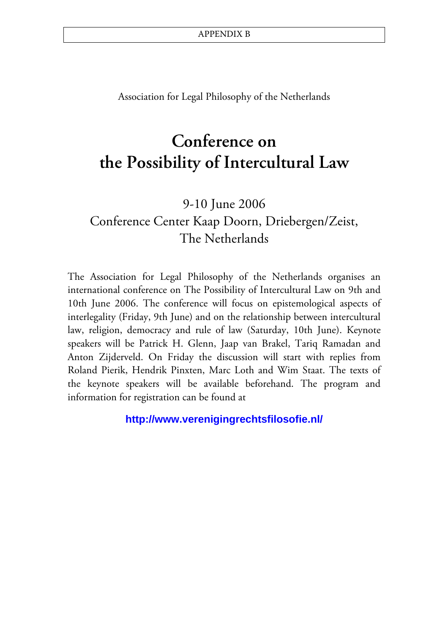Association for Legal Philosophy of the Netherlands

# **Conference on the Possibility of Intercultural Law**

9-10 June 2006 Conference Center Kaap Doorn, Driebergen/Zeist, The Netherlands

The Association for Legal Philosophy of the Netherlands organises an international conference on The Possibility of Intercultural Law on 9th and 10th June 2006. The conference will focus on epistemological aspects of interlegality (Friday, 9th June) and on the relationship between intercultural law, religion, democracy and rule of law (Saturday, 10th June). Keynote speakers will be Patrick H. Glenn, Jaap van Brakel, Tariq Ramadan and Anton Zijderveld. On Friday the discussion will start with replies from Roland Pierik, Hendrik Pinxten, Marc Loth and Wim Staat. The texts of the keynote speakers will be available beforehand. The program and information for registration can be found at

**http://www.verenigingrechtsfilosofie.nl/**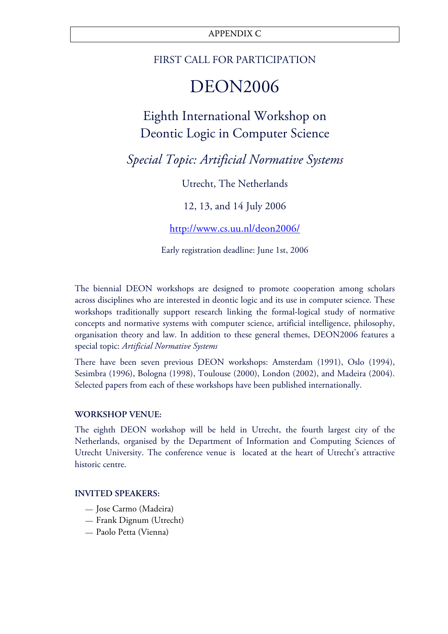### APPENDIX C

### FIRST CALL FOR PARTICIPATION

# DEON2006

# Eighth International Workshop on Deontic Logic in Computer Science

*Special Topic: Artificial Normative Systems* 

Utrecht, The Netherlands

12, 13, and 14 July 2006

<http://www.cs.uu.nl/deon2006/>

Early registration deadline: June 1st, 2006

The biennial DEON workshops are designed to promote cooperation among scholars across disciplines who are interested in deontic logic and its use in computer science. These workshops traditionally support research linking the formal-logical study of normative concepts and normative systems with computer science, artificial intelligence, philosophy, organisation theory and law. In addition to these general themes, DEON2006 features a special topic: *Artificial Normative Systems* 

There have been seven previous DEON workshops: Amsterdam (1991), Oslo (1994), Sesimbra (1996), Bologna (1998), Toulouse (2000), London (2002), and Madeira (2004). Selected papers from each of these workshops have been published internationally.

### **WORKSHOP VENUE:**

The eighth DEON workshop will be held in Utrecht, the fourth largest city of the Netherlands, organised by the Department of Information and Computing Sciences of Utrecht University. The conference venue is located at the heart of Utrecht's attractive historic centre.

### **INVITED SPEAKERS:**

- Jose Carmo (Madeira)
- Frank Dignum (Utrecht)
- Paolo Petta (Vienna)